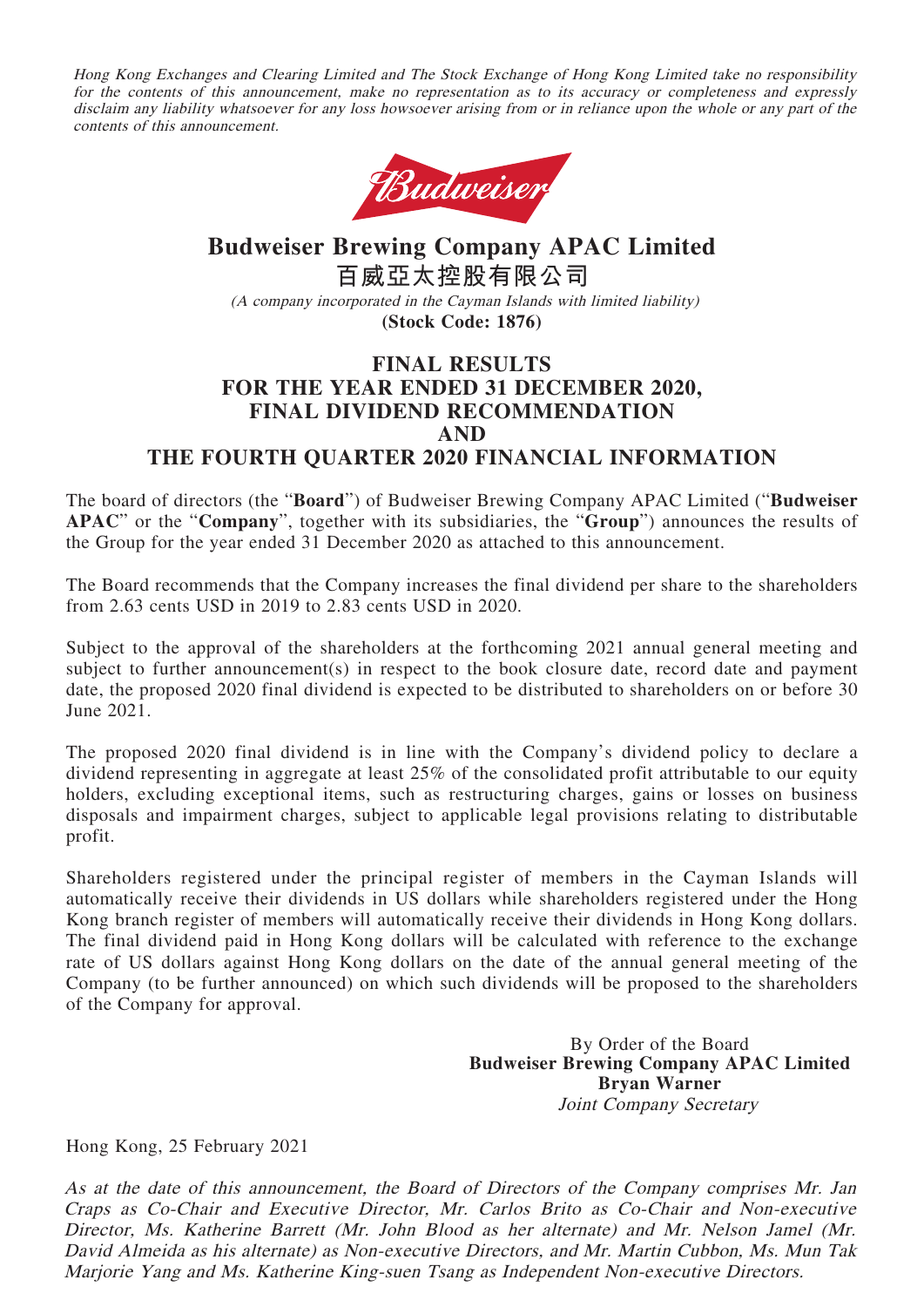Hong Kong Exchanges and Clearing Limited and The Stock Exchange of Hong Kong Limited take no responsibility for the contents of this announcement, make no representation as to its accuracy or completeness and expressly disclaim any liability whatsoever for any loss howsoever arising from or in reliance upon the whole or any part of the contents of this announcement.



# **Budweiser Brewing Company APAC Limited 百威亞太控股有限公司** (A company incorporated in the Cayman Islands with limited liability) **(Stock Code: 1876)**

# **FINAL RESULTS FOR THE YEAR ENDED 31 DECEMBER 2020, FINAL DIVIDEND RECOMMENDATION AND THE FOURTH QUARTER 2020 FINANCIAL INFORMATION**

The board of directors (the "**Board**") of Budweiser Brewing Company APAC Limited ("**Budweiser APAC**" or the "**Company**", together with its subsidiaries, the "**Group**") announces the results of the Group for the year ended 31 December 2020 as attached to this announcement.

The Board recommends that the Company increases the final dividend per share to the shareholders from 2.63 cents USD in 2019 to 2.83 cents USD in 2020.

Subject to the approval of the shareholders at the forthcoming 2021 annual general meeting and subject to further announcement(s) in respect to the book closure date, record date and payment date, the proposed 2020 final dividend is expected to be distributed to shareholders on or before 30 June 2021.

The proposed 2020 final dividend is in line with the Company's dividend policy to declare a dividend representing in aggregate at least 25% of the consolidated profit attributable to our equity holders, excluding exceptional items, such as restructuring charges, gains or losses on business disposals and impairment charges, subject to applicable legal provisions relating to distributable profit.

Shareholders registered under the principal register of members in the Cayman Islands will automatically receive their dividends in US dollars while shareholders registered under the Hong Kong branch register of members will automatically receive their dividends in Hong Kong dollars. The final dividend paid in Hong Kong dollars will be calculated with reference to the exchange rate of US dollars against Hong Kong dollars on the date of the annual general meeting of the Company (to be further announced) on which such dividends will be proposed to the shareholders of the Company for approval.

> By Order of the Board **Budweiser Brewing Company APAC Limited Bryan Warner** Joint Company Secretary

Hong Kong, 25 February 2021

As at the date of this announcement, the Board of Directors of the Company comprises Mr. Jan Craps as Co-Chair and Executive Director, Mr. Carlos Brito as Co-Chair and Non-executive Director, Ms. Katherine Barrett (Mr. John Blood as her alternate) and Mr. Nelson Jamel (Mr. David Almeida as his alternate) as Non-executive Directors, and Mr. Martin Cubbon, Ms. Mun Tak Marjorie Yang and Ms. Katherine King-suen Tsang as Independent Non-executive Directors.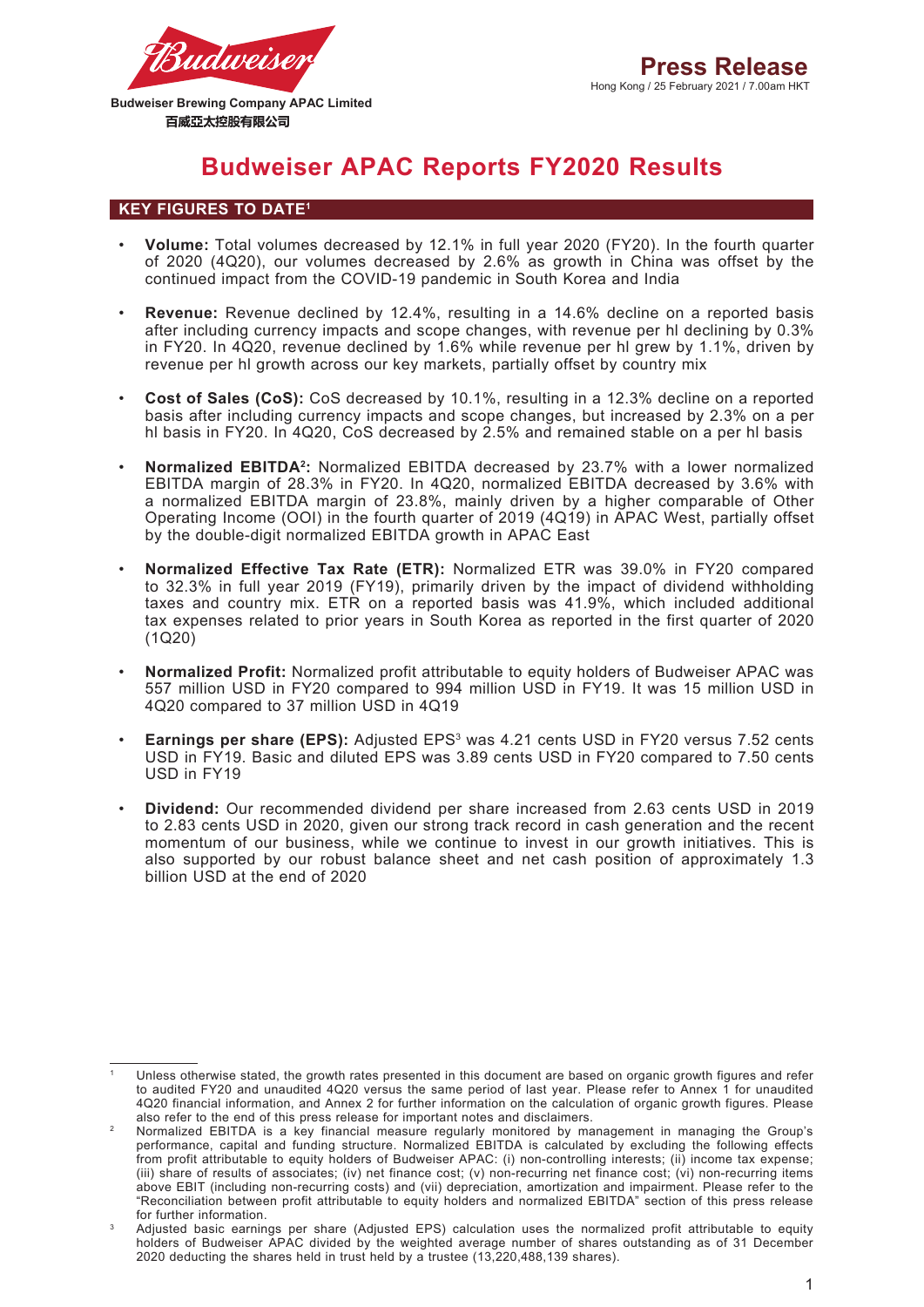

# **Budweiser APAC Reports FY2020 Results**

## **KEY FIGURES TO DATE1**

- **Volume:** Total volumes decreased by 12.1% in full year 2020 (FY20). In the fourth quarter of 2020 (4Q20), our volumes decreased by 2.6% as growth in China was offset by the continued impact from the COVID-19 pandemic in South Korea and India
- **Revenue:** Revenue declined by 12.4%, resulting in a 14.6% decline on a reported basis after including currency impacts and scope changes, with revenue per hl declining by 0.3% in FY20. In 4Q20, revenue declined by 1.6% while revenue per hl grew by 1.1%, driven by revenue per hl growth across our key markets, partially offset by country mix
- **Cost of Sales (CoS):** CoS decreased by 10.1%, resulting in a 12.3% decline on a reported basis after including currency impacts and scope changes, but increased by 2.3% on a per hl basis in FY20. In 4Q20, CoS decreased by 2.5% and remained stable on a per hl basis
- **Normalized EBITDA2:** Normalized EBITDA decreased by 23.7% with a lower normalized EBITDA margin of 28.3% in FY20. In 4Q20, normalized EBITDA decreased by 3.6% with a normalized EBITDA margin of 23.8%, mainly driven by a higher comparable of Other Operating Income (OOI) in the fourth quarter of 2019 (4Q19) in APAC West, partially offset by the double-digit normalized EBITDA growth in APAC East
- **Normalized Effective Tax Rate (ETR):** Normalized ETR was 39.0% in FY20 compared to 32.3% in full year 2019 (FY19), primarily driven by the impact of dividend withholding taxes and country mix. ETR on a reported basis was 41.9%, which included additional tax expenses related to prior years in South Korea as reported in the first quarter of 2020 (1Q20)
- **Normalized Profit:** Normalized profit attributable to equity holders of Budweiser APAC was 557 million USD in FY20 compared to 994 million USD in FY19. It was 15 million USD in 4Q20 compared to 37 million USD in 4Q19
- **Earnings per share (EPS):** Adjusted EPS<sup>3</sup> was 4.21 cents USD in FY20 versus 7.52 cents USD in FY19. Basic and diluted EPS was 3.89 cents USD in FY20 compared to 7.50 cents USD in FY19
- **Dividend:** Our recommended dividend per share increased from 2.63 cents USD in 2019 to 2.83 cents USD in 2020, given our strong track record in cash generation and the recent momentum of our business, while we continue to invest in our growth initiatives. This is also supported by our robust balance sheet and net cash position of approximately 1.3 billion USD at the end of 2020

<sup>1</sup> Unless otherwise stated, the growth rates presented in this document are based on organic growth figures and refer to audited FY20 and unaudited 4Q20 versus the same period of last year. Please refer to Annex 1 for unaudited 4Q20 financial information, and Annex 2 for further information on the calculation of organic growth figures. Please also refer to the end of this press release for important notes and disclaimers.

<sup>2</sup> Normalized EBITDA is a key financial measure regularly monitored by management in managing the Group's performance, capital and funding structure. Normalized EBITDA is calculated by excluding the following effects from profit attributable to equity holders of Budweiser APAC: (i) non-controlling interests; (ii) income tax expense; (iii) share of results of associates; (iv) net finance cost; (v) non-recurring net finance cost; (vi) non-recurring items above EBIT (including non-recurring costs) and (vii) depreciation, amortization and impairment. Please refer to the "Reconciliation between profit attributable to equity holders and normalized EBITDA" section of this press release for further information.

<sup>3</sup> Adjusted basic earnings per share (Adjusted EPS) calculation uses the normalized profit attributable to equity holders of Budweiser APAC divided by the weighted average number of shares outstanding as of 31 December 2020 deducting the shares held in trust held by a trustee (13,220,488,139 shares).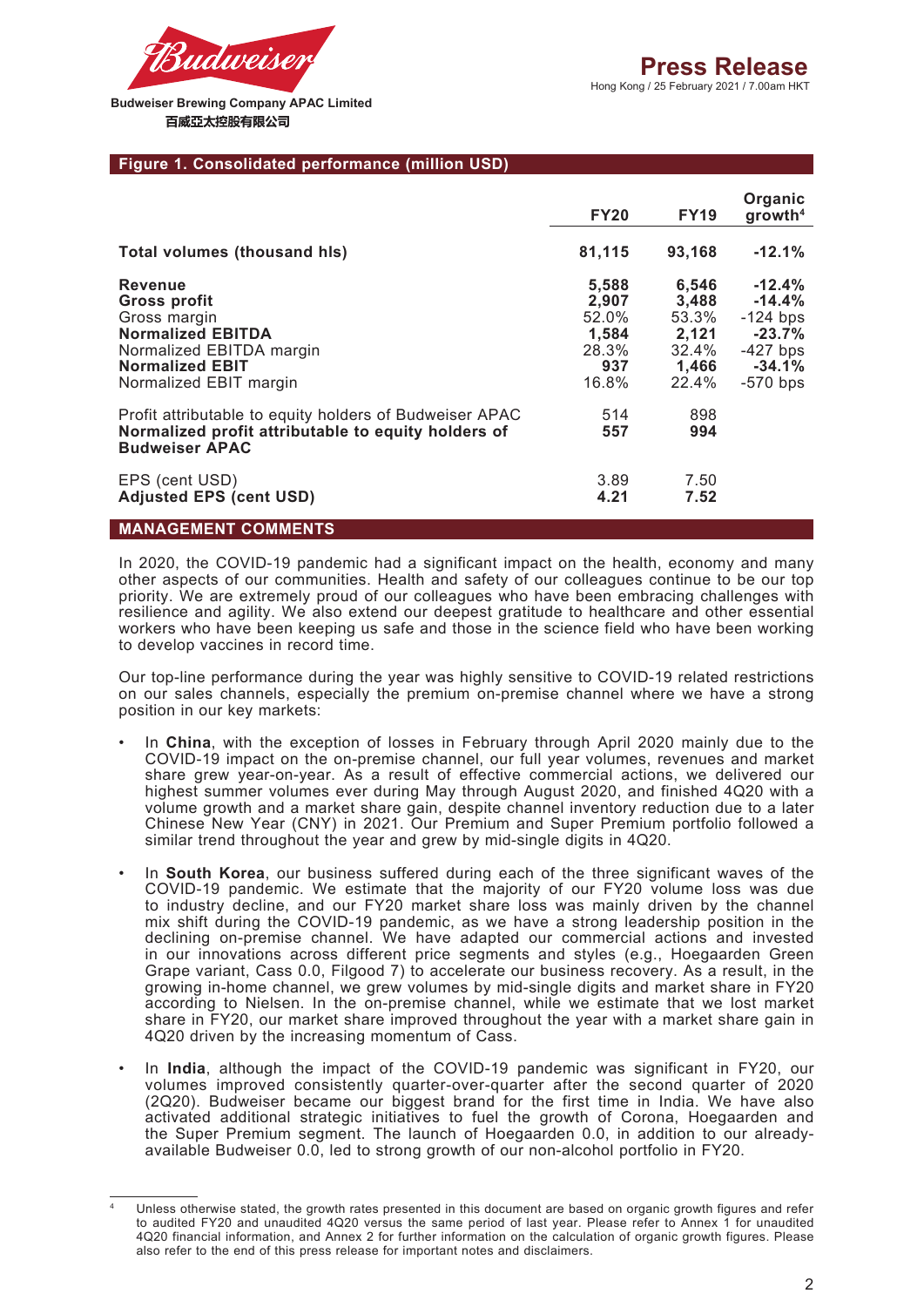

#### **Figure 1. Consolidated performance (million USD)**

|                                                                                                                                                                   | <b>FY20</b>                                               | <b>FY19</b>                                                 | Organic<br>growth <sup>4</sup>                                                          |
|-------------------------------------------------------------------------------------------------------------------------------------------------------------------|-----------------------------------------------------------|-------------------------------------------------------------|-----------------------------------------------------------------------------------------|
| <b>Total volumes (thousand his)</b>                                                                                                                               | 81,115                                                    | 93,168                                                      | $-12.1%$                                                                                |
| <b>Revenue</b><br><b>Gross profit</b><br>Gross margin<br><b>Normalized EBITDA</b><br>Normalized EBITDA margin<br><b>Normalized EBIT</b><br>Normalized EBIT margin | 5,588<br>2,907<br>52.0%<br>1,584<br>28.3%<br>937<br>16.8% | 6,546<br>3,488<br>53.3%<br>2,121<br>32.4%<br>1,466<br>22.4% | $-12.4\%$<br>$-14.4%$<br>$-124$ bps<br>$-23.7%$<br>$-427$ bps<br>$-34.1%$<br>$-570$ bps |
| Profit attributable to equity holders of Budweiser APAC<br>Normalized profit attributable to equity holders of<br><b>Budweiser APAC</b>                           | 514<br>557                                                | 898<br>994                                                  |                                                                                         |
| EPS (cent USD)<br><b>Adjusted EPS (cent USD)</b>                                                                                                                  | 3.89<br>4.21                                              | 7.50<br>7.52                                                |                                                                                         |

# **MANAGEMENT COMMENTS**

In 2020, the COVID-19 pandemic had a significant impact on the health, economy and many other aspects of our communities. Health and safety of our colleagues continue to be our top priority. We are extremely proud of our colleagues who have been embracing challenges with resilience and agility. We also extend our deepest gratitude to healthcare and other essential workers who have been keeping us safe and those in the science field who have been working to develop vaccines in record time.

Our top-line performance during the year was highly sensitive to COVID-19 related restrictions on our sales channels, especially the premium on-premise channel where we have a strong position in our key markets:

- In **China**, with the exception of losses in February through April 2020 mainly due to the COVID-19 impact on the on-premise channel, our full year volumes, revenues and market share grew year-on-year. As a result of effective commercial actions, we delivered our highest summer volumes ever during May through August 2020, and finished 4Q20 with a volume growth and a market share gain, despite channel inventory reduction due to a later Chinese New Year (CNY) in 2021. Our Premium and Super Premium portfolio followed a similar trend throughout the year and grew by mid-single digits in 4Q20.
- In **South Korea**, our business suffered during each of the three significant waves of the COVID-19 pandemic. We estimate that the majority of our FY20 volume loss was due to industry decline, and our FY20 market share loss was mainly driven by the channel mix shift during the COVID-19 pandemic, as we have a strong leadership position in the declining on-premise channel. We have adapted our commercial actions and invested in our innovations across different price segments and styles (e.g., Hoegaarden Green Grape variant, Cass 0.0, Filgood 7) to accelerate our business recovery. As a result, in the growing in-home channel, we grew volumes by mid-single digits and market share in FY20 according to Nielsen. In the on-premise channel, while we estimate that we lost market share in FY20, our market share improved throughout the year with a market share gain in 4Q20 driven by the increasing momentum of Cass.
- In **India**, although the impact of the COVID-19 pandemic was significant in FY20, our volumes improved consistently quarter-over-quarter after the second quarter of 2020 (2Q20). Budweiser became our biggest brand for the first time in India. We have also activated additional strategic initiatives to fuel the growth of Corona, Hoegaarden and the Super Premium segment. The launch of Hoegaarden 0.0, in addition to our alreadyavailable Budweiser 0.0, led to strong growth of our non-alcohol portfolio in FY20.

Unless otherwise stated, the growth rates presented in this document are based on organic growth figures and refer to audited FY20 and unaudited 4Q20 versus the same period of last year. Please refer to Annex 1 for unaudited 4Q20 financial information, and Annex 2 for further information on the calculation of organic growth figures. Please also refer to the end of this press release for important notes and disclaimers.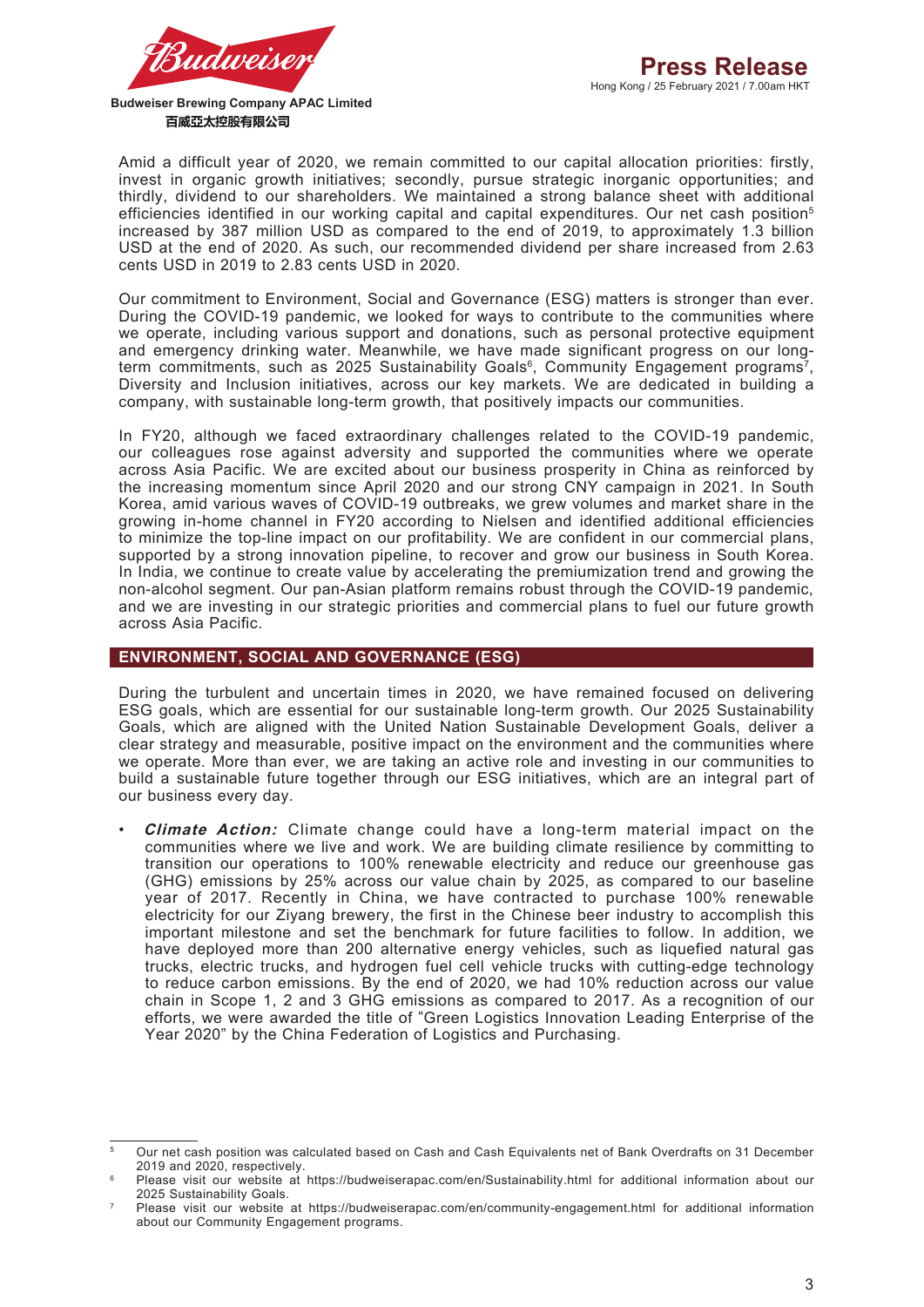

Amid a difficult year of 2020, we remain committed to our capital allocation priorities: firstly, invest in organic growth initiatives; secondly, pursue strategic inorganic opportunities; and thirdly, dividend to our shareholders. We maintained a strong balance sheet with additional efficiencies identified in our working capital and capital expenditures. Our net cash position<sup>5</sup> increased by 387 million USD as compared to the end of 2019, to approximately 1.3 billion USD at the end of 2020. As such, our recommended dividend per share increased from 2.63 cents USD in 2019 to 2.83 cents USD in 2020.

Our commitment to Environment, Social and Governance (ESG) matters is stronger than ever. During the COVID-19 pandemic, we looked for ways to contribute to the communities where we operate, including various support and donations, such as personal protective equipment and emergency drinking water. Meanwhile, we have made significant progress on our longterm commitments, such as 2025 Sustainability Goals<sup>6</sup>, Community Engagement programs<sup>7</sup>, Diversity and Inclusion initiatives, across our key markets. We are dedicated in building a company, with sustainable long-term growth, that positively impacts our communities.

In FY20, although we faced extraordinary challenges related to the COVID-19 pandemic, our colleagues rose against adversity and supported the communities where we operate across Asia Pacific. We are excited about our business prosperity in China as reinforced by the increasing momentum since April 2020 and our strong CNY campaign in 2021. In South Korea, amid various waves of COVID-19 outbreaks, we grew volumes and market share in the growing in-home channel in FY20 according to Nielsen and identified additional efficiencies to minimize the top-line impact on our profitability. We are confident in our commercial plans, supported by a strong innovation pipeline, to recover and grow our business in South Korea. In India, we continue to create value by accelerating the premiumization trend and growing the non-alcohol segment. Our pan-Asian platform remains robust through the COVID-19 pandemic, and we are investing in our strategic priorities and commercial plans to fuel our future growth across Asia Pacific.

#### **ENVIRONMENT, SOCIAL AND GOVERNANCE (ESG)**

During the turbulent and uncertain times in 2020, we have remained focused on delivering ESG goals, which are essential for our sustainable long-term growth. Our 2025 Sustainability Goals, which are aligned with the United Nation Sustainable Development Goals, deliver a clear strategy and measurable, positive impact on the environment and the communities where we operate. More than ever, we are taking an active role and investing in our communities to build a sustainable future together through our ESG initiatives, which are an integral part of our business every day.

• **Climate Action:** Climate change could have a long-term material impact on the communities where we live and work. We are building climate resilience by committing to transition our operations to 100% renewable electricity and reduce our greenhouse gas (GHG) emissions by 25% across our value chain by 2025, as compared to our baseline year of 2017. Recently in China, we have contracted to purchase 100% renewable electricity for our Ziyang brewery, the first in the Chinese beer industry to accomplish this important milestone and set the benchmark for future facilities to follow. In addition, we have deployed more than 200 alternative energy vehicles, such as liquefied natural gas trucks, electric trucks, and hydrogen fuel cell vehicle trucks with cutting-edge technology to reduce carbon emissions. By the end of 2020, we had 10% reduction across our value chain in Scope 1, 2 and 3 GHG emissions as compared to 2017. As a recognition of our efforts, we were awarded the title of "Green Logistics Innovation Leading Enterprise of the Year 2020" by the China Federation of Logistics and Purchasing.

<sup>5</sup> Our net cash position was calculated based on Cash and Cash Equivalents net of Bank Overdrafts on 31 December 2019 and 2020, respectively.

Please visit our website at https://budweiserapac.com/en/Sustainability.html for additional information about our 2025 Sustainability Goals.

Please visit our website at https://budweiserapac.com/en/community-engagement.html for additional information about our Community Engagement programs.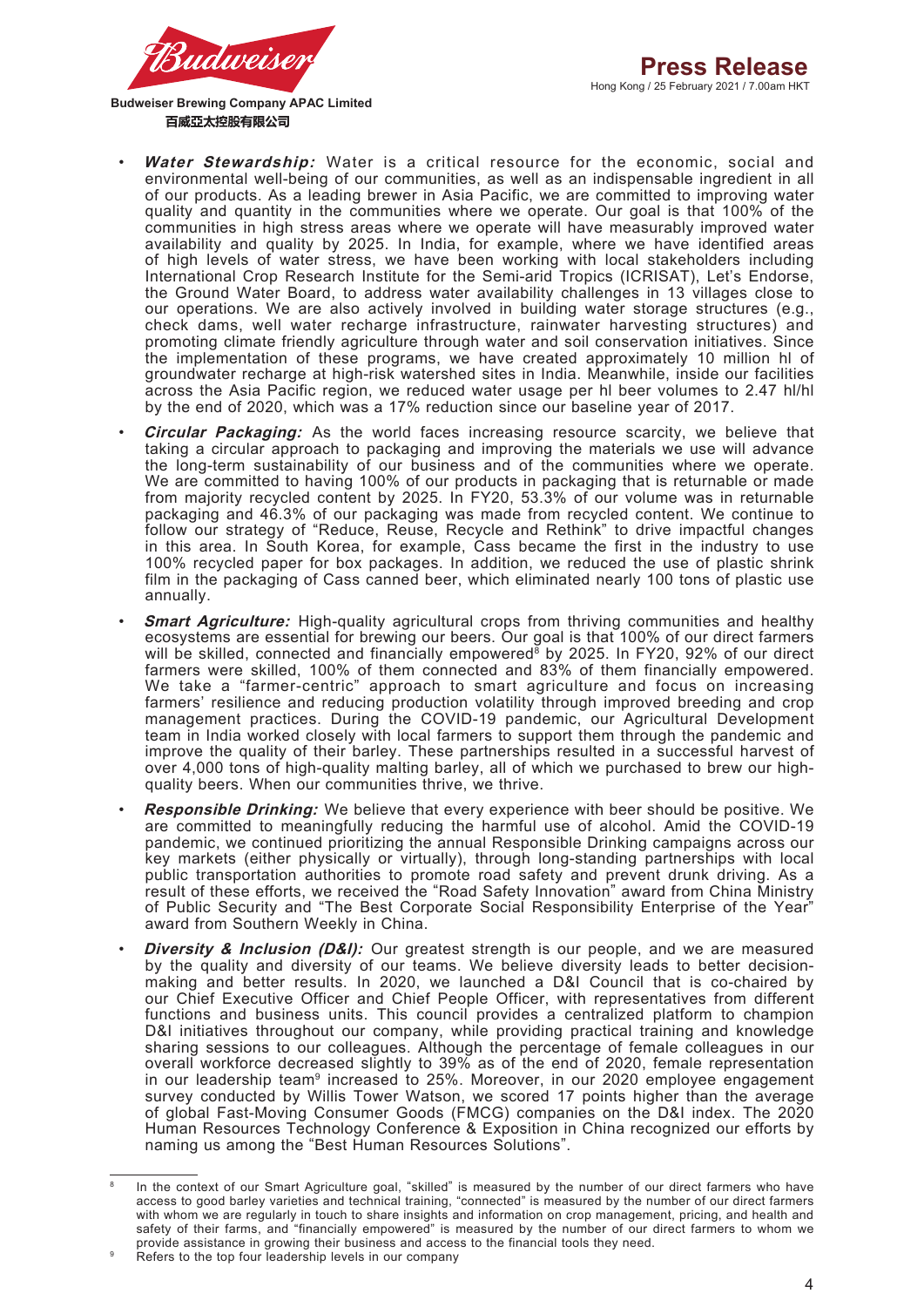

- **Water Stewardship:** Water is a critical resource for the economic, social and environmental well-being of our communities, as well as an indispensable ingredient in all of our products. As a leading brewer in Asia Pacific, we are committed to improving water quality and quantity in the communities where we operate. Our goal is that 100% of the communities in high stress areas where we operate will have measurably improved water availability and quality by 2025. In India, for example, where we have identified areas of high levels of water stress, we have been working with local stakeholders including International Crop Research Institute for the Semi-arid Tropics (ICRISAT), Let's Endorse, the Ground Water Board, to address water availability challenges in 13 villages close to our operations. We are also actively involved in building water storage structures (e.g., check dams, well water recharge infrastructure, rainwater harvesting structures) and promoting climate friendly agriculture through water and soil conservation initiatives. Since the implementation of these programs, we have created approximately 10 million hl of groundwater recharge at high-risk watershed sites in India. Meanwhile, inside our facilities across the Asia Pacific region, we reduced water usage per hl beer volumes to 2.47 hl/hl by the end of 2020, which was a 17% reduction since our baseline year of 2017.
- **Circular Packaging:** As the world faces increasing resource scarcity, we believe that taking a circular approach to packaging and improving the materials we use will advance the long-term sustainability of our business and of the communities where we operate. We are committed to having 100% of our products in packaging that is returnable or made from majority recycled content by 2025. In FY20, 53.3% of our volume was in returnable packaging and 46.3% of our packaging was made from recycled content. We continue to follow our strategy of "Reduce, Reuse, Recycle and Rethink" to drive impactful changes in this area. In South Korea, for example, Cass became the first in the industry to use 100% recycled paper for box packages. In addition, we reduced the use of plastic shrink film in the packaging of Cass canned beer, which eliminated nearly 100 tons of plastic use annually.
- **Smart Agriculture:** High-quality agricultural crops from thriving communities and healthy ecosystems are essential for brewing our beers. Our goal is that 100% of our direct farmers will be skilled, connected and financially empowered<sup>8</sup> by 2025. In FY20, 92% of our direct farmers were skilled, 100% of them connected and 83% of them financially empowered. We take a "farmer-centric" approach to smart agriculture and focus on increasing farmers' resilience and reducing production volatility through improved breeding and crop management practices. During the COVID-19 pandemic, our Agricultural Development team in India worked closely with local farmers to support them through the pandemic and improve the quality of their barley. These partnerships resulted in a successful harvest of over 4,000 tons of high-quality malting barley, all of which we purchased to brew our highquality beers. When our communities thrive, we thrive.
- **Responsible Drinking:** We believe that every experience with beer should be positive. We are committed to meaningfully reducing the harmful use of alcohol. Amid the COVID-19 pandemic, we continued prioritizing the annual Responsible Drinking campaigns across our key markets (either physically or virtually), through long-standing partnerships with local public transportation authorities to promote road safety and prevent drunk driving. As a result of these efforts, we received the "Road Safety Innovation" award from China Ministry of Public Security and "The Best Corporate Social Responsibility Enterprise of the Year" award from Southern Weekly in China.
- **Diversity & Inclusion (D&I):** Our greatest strength is our people, and we are measured by the quality and diversity of our teams. We believe diversity leads to better decisionmaking and better results. In 2020, we launched a D&I Council that is co-chaired by our Chief Executive Officer and Chief People Officer, with representatives from different functions and business units. This council provides a centralized platform to champion D&I initiatives throughout our company, while providing practical training and knowledge sharing sessions to our colleagues. Although the percentage of female colleagues in our overall workforce decreased slightly to 39% as of the end of 2020, female representation in our leadership team<sup>9</sup> increased to 25%. Moreover, in our 2020 employee engagement survey conducted by Willis Tower Watson, we scored 17 points higher than the average of global Fast-Moving Consumer Goods (FMCG) companies on the D&I index. The 2020 Human Resources Technology Conference & Exposition in China recognized our efforts by naming us among the "Best Human Resources Solutions".

<sup>&</sup>lt;sup>8</sup> In the context of our Smart Agriculture goal, "skilled" is measured by the number of our direct farmers who have access to good barley varieties and technical training, "connected" is measured by the number of our direct farmers with whom we are regularly in touch to share insights and information on crop management, pricing, and health and safety of their farms, and "financially empowered" is measured by the number of our direct farmers to whom we provide assistance in growing their business and access to the financial tools they need.

Refers to the top four leadership levels in our company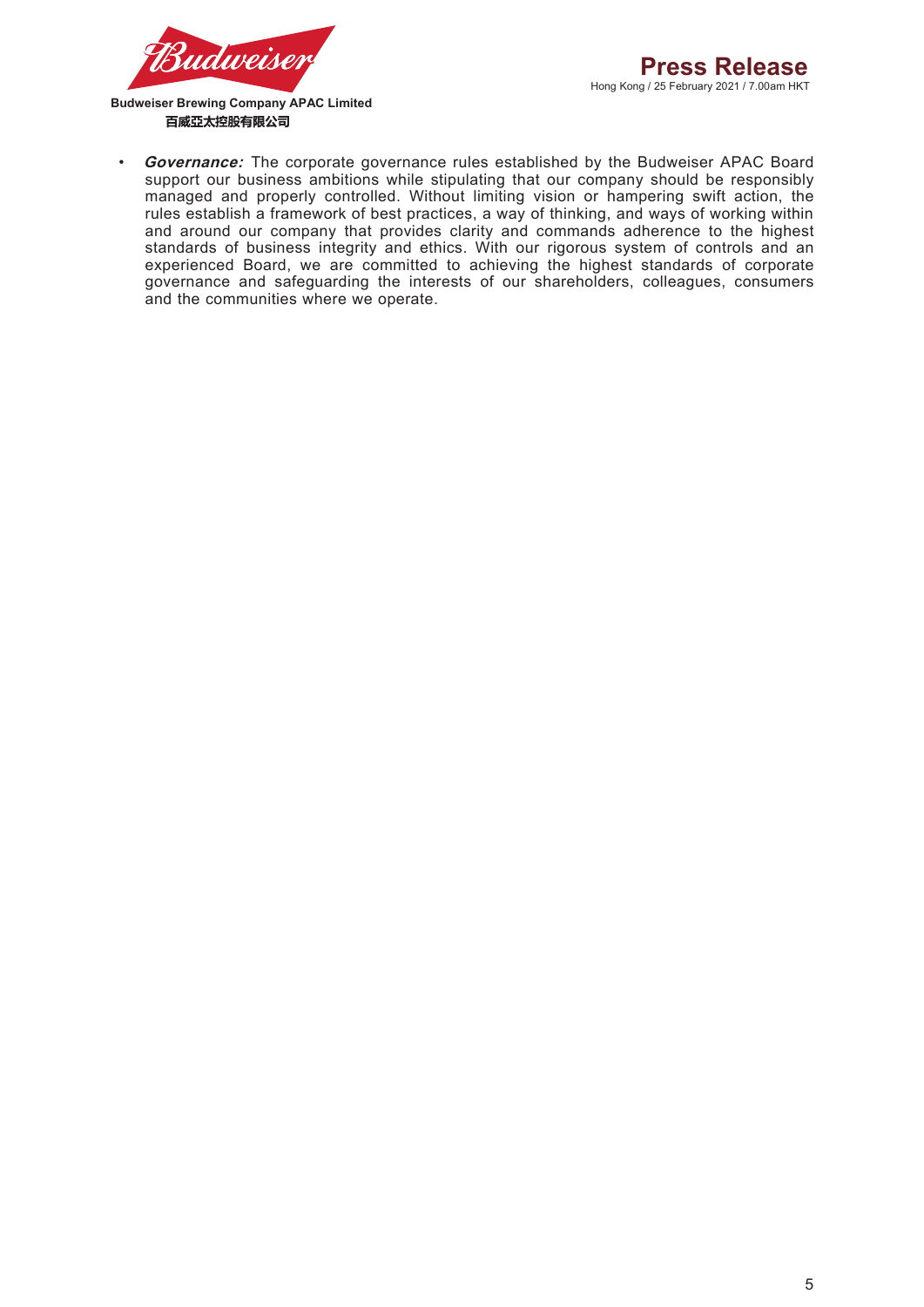

**Governance:** The corporate governance rules established by the Budweiser APAC Board support our business ambitions while stipulating that our company should be responsibly managed and properly controlled. Without limiting vision or hampering swift action, the rules establish a framework of best practices, a way of thinking, and ways of working within and around our company that provides clarity and commands adherence to the highest standards of business integrity and ethics. With our rigorous system of controls and an experienced Board, we are committed to achieving the highest standards of corporate governance and safeguarding the interests of our shareholders, colleagues, consumers and the communities where we operate.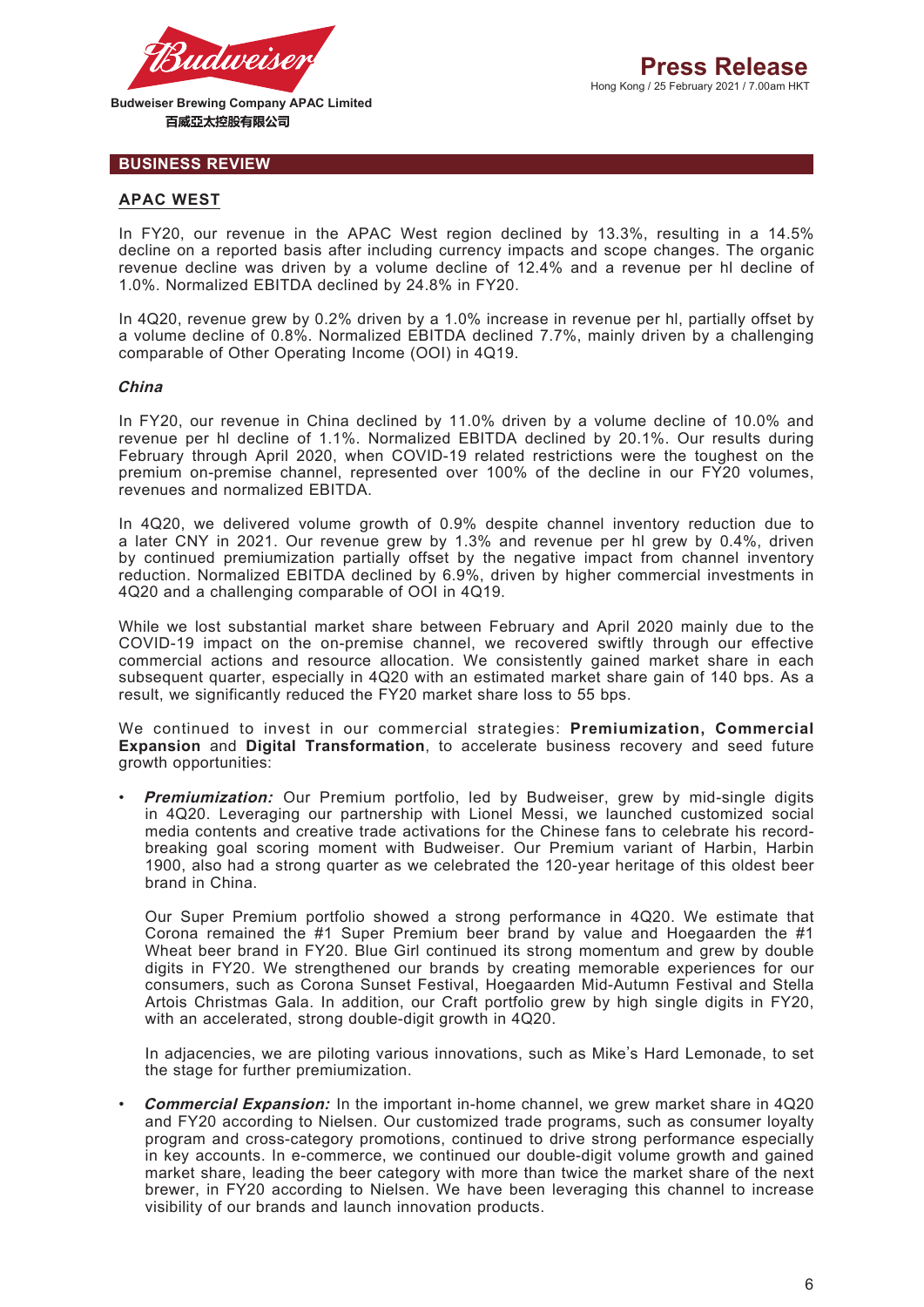

# **BUSINESS REVIEW**

## **APAC WEST**

In FY20, our revenue in the APAC West region declined by 13.3%, resulting in a 14.5% decline on a reported basis after including currency impacts and scope changes. The organic revenue decline was driven by a volume decline of 12.4% and a revenue per hl decline of 1.0%. Normalized EBITDA declined by 24.8% in FY20.

In 4Q20, revenue grew by 0.2% driven by a 1.0% increase in revenue per hl, partially offset by a volume decline of 0.8%. Normalized EBITDA declined 7.7%, mainly driven by a challenging comparable of Other Operating Income (OOI) in 4Q19.

#### **China**

In FY20, our revenue in China declined by 11.0% driven by a volume decline of 10.0% and revenue per hl decline of 1.1%. Normalized EBITDA declined by 20.1%. Our results during February through April 2020, when COVID-19 related restrictions were the toughest on the premium on-premise channel, represented over 100% of the decline in our FY20 volumes, revenues and normalized EBITDA.

In 4Q20, we delivered volume growth of 0.9% despite channel inventory reduction due to a later CNY in 2021. Our revenue grew by 1.3% and revenue per hl grew by 0.4%, driven by continued premiumization partially offset by the negative impact from channel inventory reduction. Normalized EBITDA declined by 6.9%, driven by higher commercial investments in 4Q20 and a challenging comparable of OOI in 4Q19.

While we lost substantial market share between February and April 2020 mainly due to the COVID-19 impact on the on-premise channel, we recovered swiftly through our effective commercial actions and resource allocation. We consistently gained market share in each subsequent quarter, especially in 4Q20 with an estimated market share gain of 140 bps. As a result, we significantly reduced the FY20 market share loss to 55 bps.

We continued to invest in our commercial strategies: **Premiumization, Commercial Expansion** and **Digital Transformation**, to accelerate business recovery and seed future growth opportunities:

**Premiumization:** Our Premium portfolio, led by Budweiser, grew by mid-single digits in 4Q20. Leveraging our partnership with Lionel Messi, we launched customized social media contents and creative trade activations for the Chinese fans to celebrate his recordbreaking goal scoring moment with Budweiser. Our Premium variant of Harbin, Harbin 1900, also had a strong quarter as we celebrated the 120-year heritage of this oldest beer brand in China.

Our Super Premium portfolio showed a strong performance in 4Q20. We estimate that Corona remained the #1 Super Premium beer brand by value and Hoegaarden the #1 Wheat beer brand in FY20. Blue Girl continued its strong momentum and grew by double digits in FY20. We strengthened our brands by creating memorable experiences for our consumers, such as Corona Sunset Festival, Hoegaarden Mid-Autumn Festival and Stella Artois Christmas Gala. In addition, our Craft portfolio grew by high single digits in FY20, with an accelerated, strong double-digit growth in 4Q20.

In adjacencies, we are piloting various innovations, such as Mike's Hard Lemonade, to set the stage for further premiumization.

• **Commercial Expansion:** In the important in-home channel, we grew market share in 4Q20 and FY20 according to Nielsen. Our customized trade programs, such as consumer loyalty program and cross-category promotions, continued to drive strong performance especially in key accounts. In e-commerce, we continued our double-digit volume growth and gained market share, leading the beer category with more than twice the market share of the next brewer, in FY20 according to Nielsen. We have been leveraging this channel to increase visibility of our brands and launch innovation products.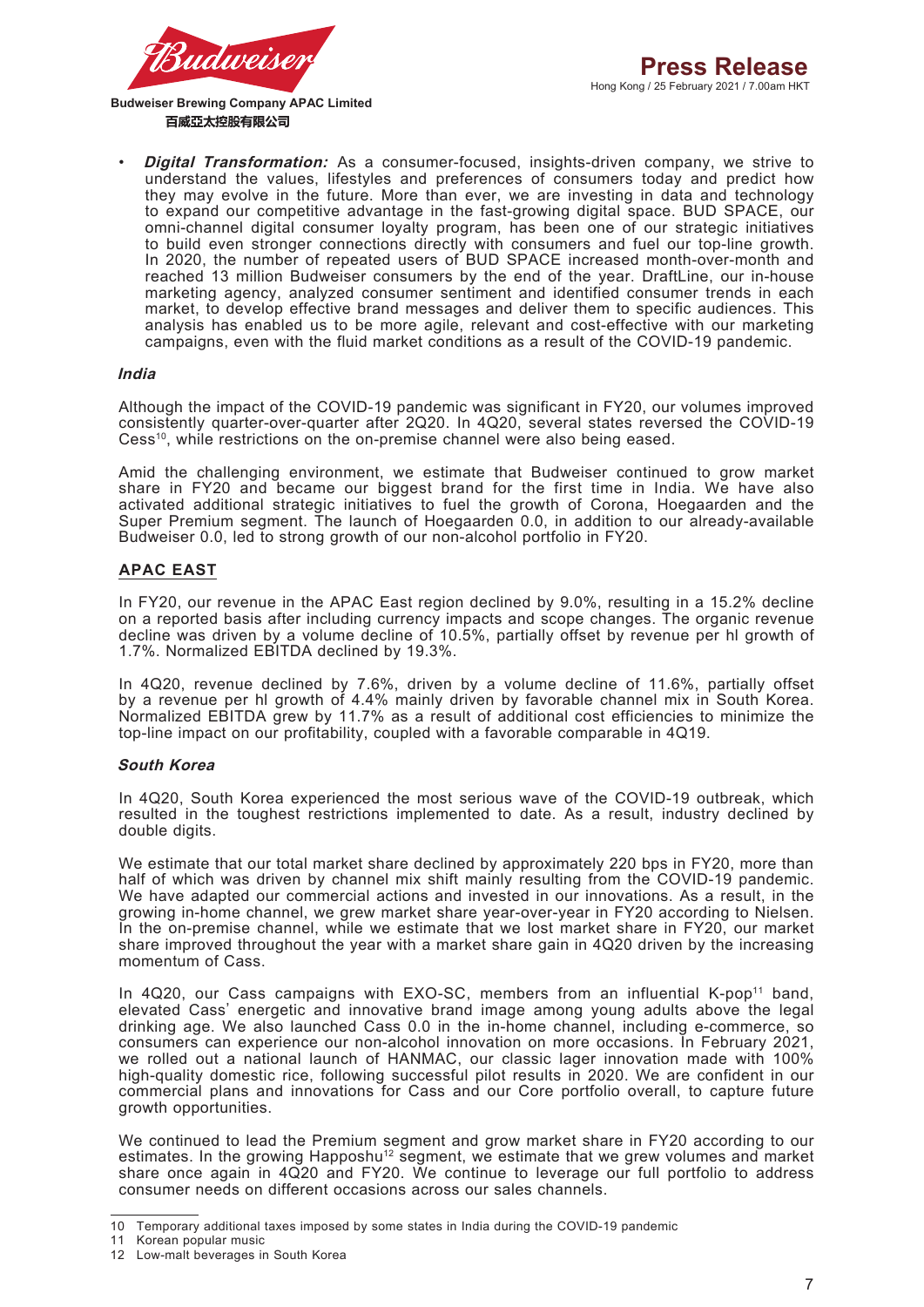

• **Digital Transformation:** As a consumer-focused, insights-driven company, we strive to understand the values, lifestyles and preferences of consumers today and predict how they may evolve in the future. More than ever, we are investing in data and technology to expand our competitive advantage in the fast-growing digital space. BUD SPACE, our omni-channel digital consumer loyalty program, has been one of our strategic initiatives to build even stronger connections directly with consumers and fuel our top-line growth. In 2020, the number of repeated users of BUD SPACE increased month-over-month and reached 13 million Budweiser consumers by the end of the year. DraftLine, our in-house marketing agency, analyzed consumer sentiment and identified consumer trends in each market, to develop effective brand messages and deliver them to specific audiences. This analysis has enabled us to be more agile, relevant and cost-effective with our marketing campaigns, even with the fluid market conditions as a result of the COVID-19 pandemic.

#### **India**

Although the impact of the COVID-19 pandemic was significant in FY20, our volumes improved consistently quarter-over-quarter after 2Q20. In 4Q20, several states reversed the COVID-19 Cess<sup>10</sup>, while restrictions on the on-premise channel were also being eased.

Amid the challenging environment, we estimate that Budweiser continued to grow market share in FY20 and became our biggest brand for the first time in India. We have also activated additional strategic initiatives to fuel the growth of Corona, Hoegaarden and the Super Premium segment. The launch of Hoegaarden 0.0, in addition to our already-available Budweiser 0.0, led to strong growth of our non-alcohol portfolio in FY20.

#### **APAC EAST**

In FY20, our revenue in the APAC East region declined by 9.0%, resulting in a 15.2% decline on a reported basis after including currency impacts and scope changes. The organic revenue decline was driven by a volume decline of 10.5%, partially offset by revenue per hl growth of 1.7%. Normalized EBITDA declined by 19.3%.

In 4Q20, revenue declined by 7.6%, driven by a volume decline of 11.6%, partially offset by a revenue per hl growth of 4.4% mainly driven by favorable channel mix in South Korea. Normalized EBITDA grew by 11.7% as a result of additional cost efficiencies to minimize the top-line impact on our profitability, coupled with a favorable comparable in 4Q19.

#### **South Korea**

In 4Q20, South Korea experienced the most serious wave of the COVID-19 outbreak, which resulted in the toughest restrictions implemented to date. As a result, industry declined by double digits.

We estimate that our total market share declined by approximately 220 bps in FY20, more than half of which was driven by channel mix shift mainly resulting from the COVID-19 pandemic. We have adapted our commercial actions and invested in our innovations. As a result, in the growing in-home channel, we grew market share year-over-year in FY20 according to Nielsen. In the on-premise channel, while we estimate that we lost market share in FY20, our market share improved throughout the year with a market share gain in 4Q20 driven by the increasing momentum of Cass.

In 4Q20, our Cass campaigns with EXO-SC, members from an influential K-pop<sup>11</sup> band, elevated Cass' energetic and innovative brand image among young adults above the legal drinking age. We also launched Cass 0.0 in the in-home channel, including e-commerce, so consumers can experience our non-alcohol innovation on more occasions. In February 2021, we rolled out a national launch of HANMAC, our classic lager innovation made with 100% high-quality domestic rice, following successful pilot results in 2020. We are confident in our commercial plans and innovations for Cass and our Core portfolio overall, to capture future growth opportunities.

We continued to lead the Premium segment and grow market share in FY20 according to our estimates. In the growing Happoshu<sup>12</sup> segment, we estimate that we grew volumes and market share once again in 4Q20 and FY20. We continue to leverage our full portfolio to address consumer needs on different occasions across our sales channels.

<sup>10</sup> Temporary additional taxes imposed by some states in India during the COVID-19 pandemic

<sup>11</sup> Korean popular music

<sup>12</sup> Low-malt beverages in South Korea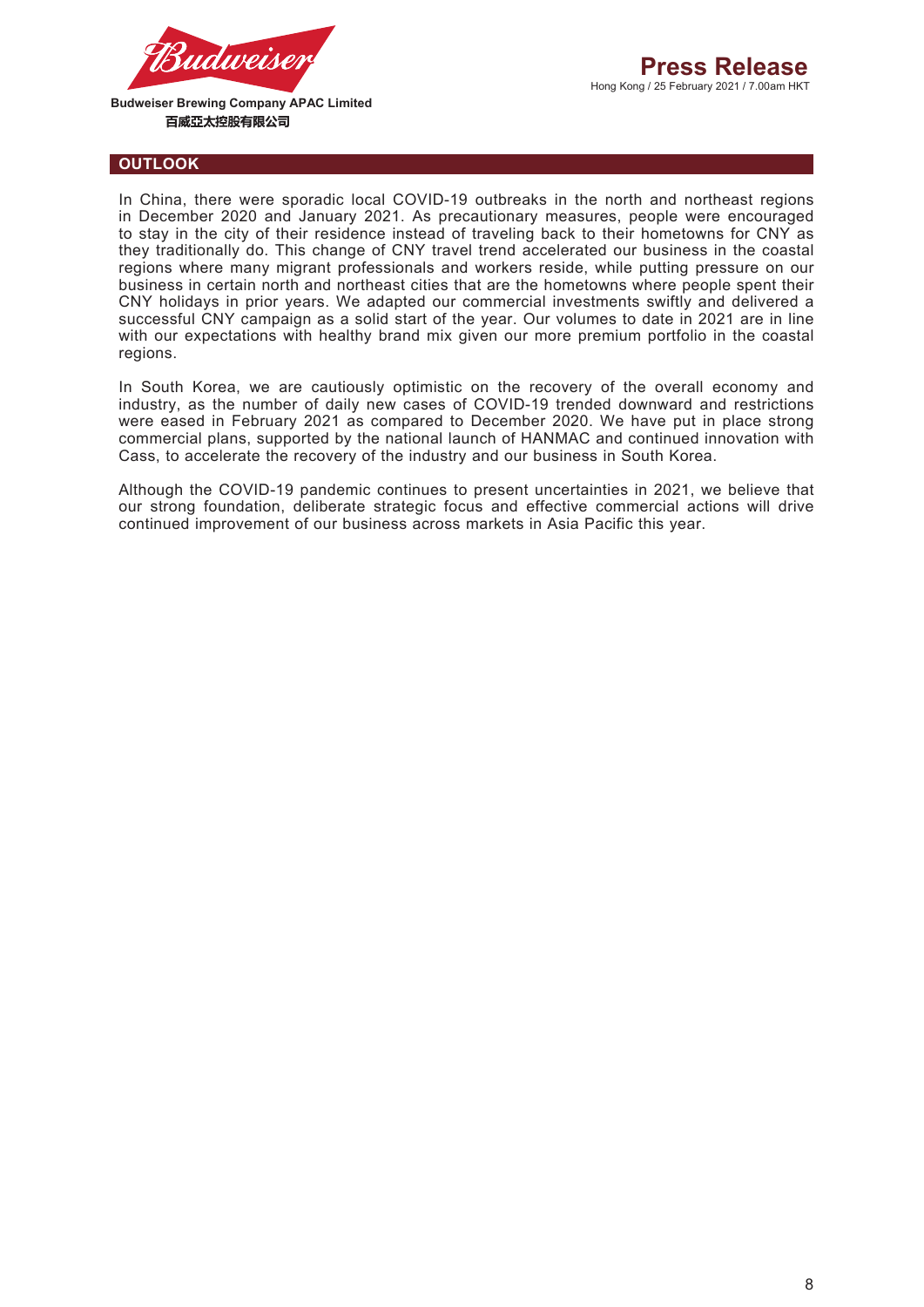

Hong Kong / 25 February 2021 / 7.00am HKT **Press Release**

**Budweiser Brewing Company APAC Limited**  百威亞太控股有限公司

#### **OUTLOOK**

In China, there were sporadic local COVID-19 outbreaks in the north and northeast regions in December 2020 and January 2021. As precautionary measures, people were encouraged to stay in the city of their residence instead of traveling back to their hometowns for CNY as they traditionally do. This change of CNY travel trend accelerated our business in the coastal regions where many migrant professionals and workers reside, while putting pressure on our business in certain north and northeast cities that are the hometowns where people spent their CNY holidays in prior years. We adapted our commercial investments swiftly and delivered a successful CNY campaign as a solid start of the year. Our volumes to date in 2021 are in line with our expectations with healthy brand mix given our more premium portfolio in the coastal regions.

In South Korea, we are cautiously optimistic on the recovery of the overall economy and industry, as the number of daily new cases of COVID-19 trended downward and restrictions were eased in February 2021 as compared to December 2020. We have put in place strong commercial plans, supported by the national launch of HANMAC and continued innovation with Cass, to accelerate the recovery of the industry and our business in South Korea.

Although the COVID-19 pandemic continues to present uncertainties in 2021, we believe that our strong foundation, deliberate strategic focus and effective commercial actions will drive continued improvement of our business across markets in Asia Pacific this year.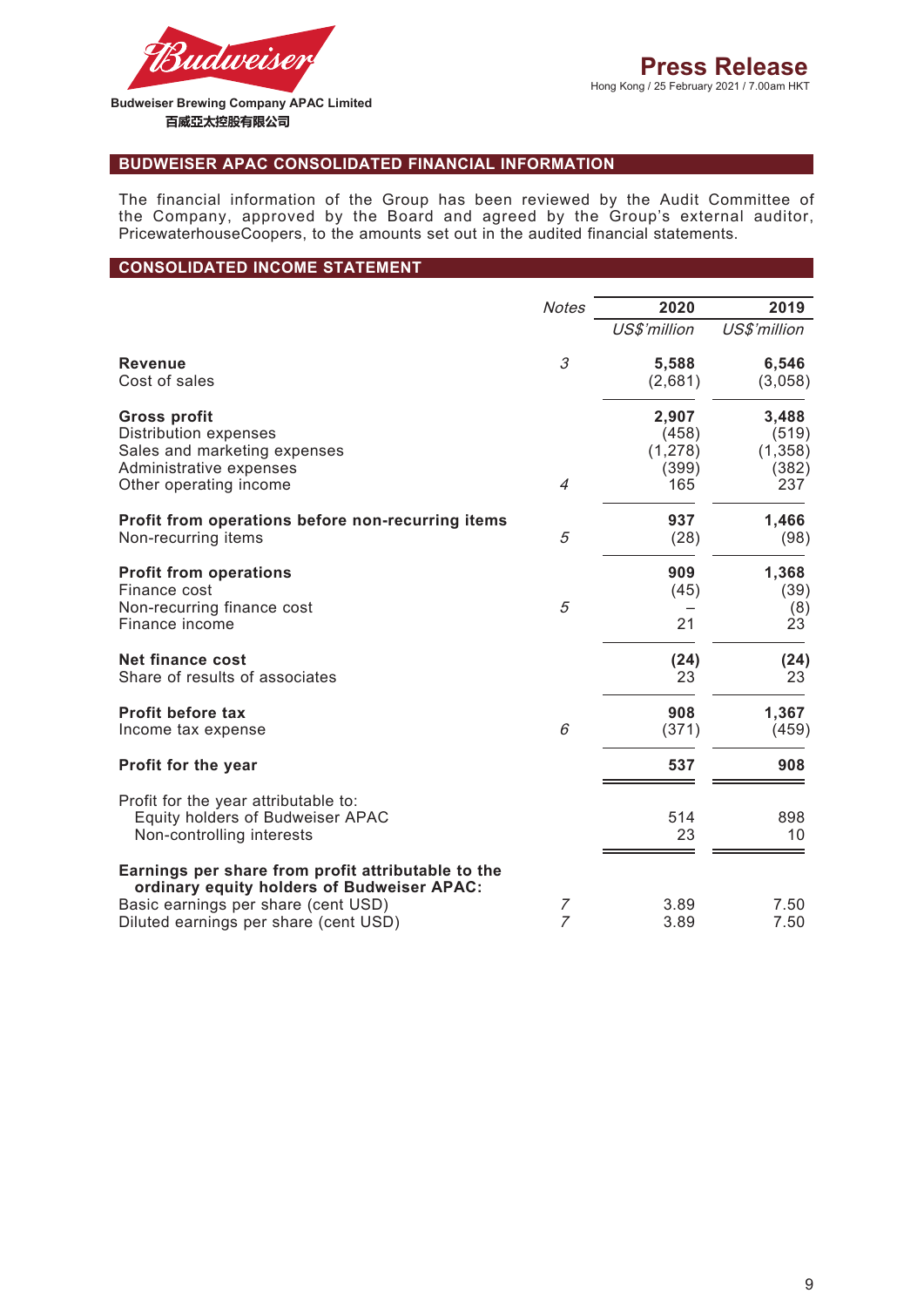

# **BUDWEISER APAC CONSOLIDATED FINANCIAL INFORMATION**

The financial information of the Group has been reviewed by the Audit Committee of the Company, approved by the Board and agreed by the Group's external auditor, PricewaterhouseCoopers, to the amounts set out in the audited financial statements.

### **CONSOLIDATED INCOME STATEMENT**

|                                                    | <b>Notes</b>   | 2020         | 2019         |
|----------------------------------------------------|----------------|--------------|--------------|
|                                                    |                | US\$'million | US\$'million |
| <b>Revenue</b>                                     | 3              | 5,588        | 6,546        |
| Cost of sales                                      |                | (2,681)      | (3,058)      |
| <b>Gross profit</b>                                |                | 2,907        | 3,488        |
| <b>Distribution expenses</b>                       |                | (458)        | (519)        |
| Sales and marketing expenses                       |                | (1, 278)     | (1, 358)     |
| Administrative expenses                            |                | (399)        | (382)        |
| Other operating income                             | $\overline{4}$ | 165          | 237          |
| Profit from operations before non-recurring items  |                | 937          | 1,466        |
| Non-recurring items                                | 5              | (28)         | (98)         |
| <b>Profit from operations</b>                      |                | 909          | 1,368        |
| Finance cost                                       |                | (45)         | (39)         |
| Non-recurring finance cost                         | 5              |              | (8)          |
| Finance income                                     |                | 21           | 23           |
| Net finance cost                                   |                | (24)         | (24)         |
| Share of results of associates                     |                | 23           | 23           |
| Profit before tax                                  |                | 908          | 1,367        |
| Income tax expense                                 | 6              | (371)        | (459)        |
| Profit for the year                                |                | 537          | 908          |
| Profit for the year attributable to:               |                |              |              |
| <b>Equity holders of Budweiser APAC</b>            |                | 514          | 898          |
| Non-controlling interests                          |                | 23           | 10           |
| Earnings per share from profit attributable to the |                |              |              |
| ordinary equity holders of Budweiser APAC:         |                |              |              |
| Basic earnings per share (cent USD)                | 7              | 3.89         | 7.50         |
| Diluted earnings per share (cent USD)              | $\overline{z}$ | 3.89         | 7.50         |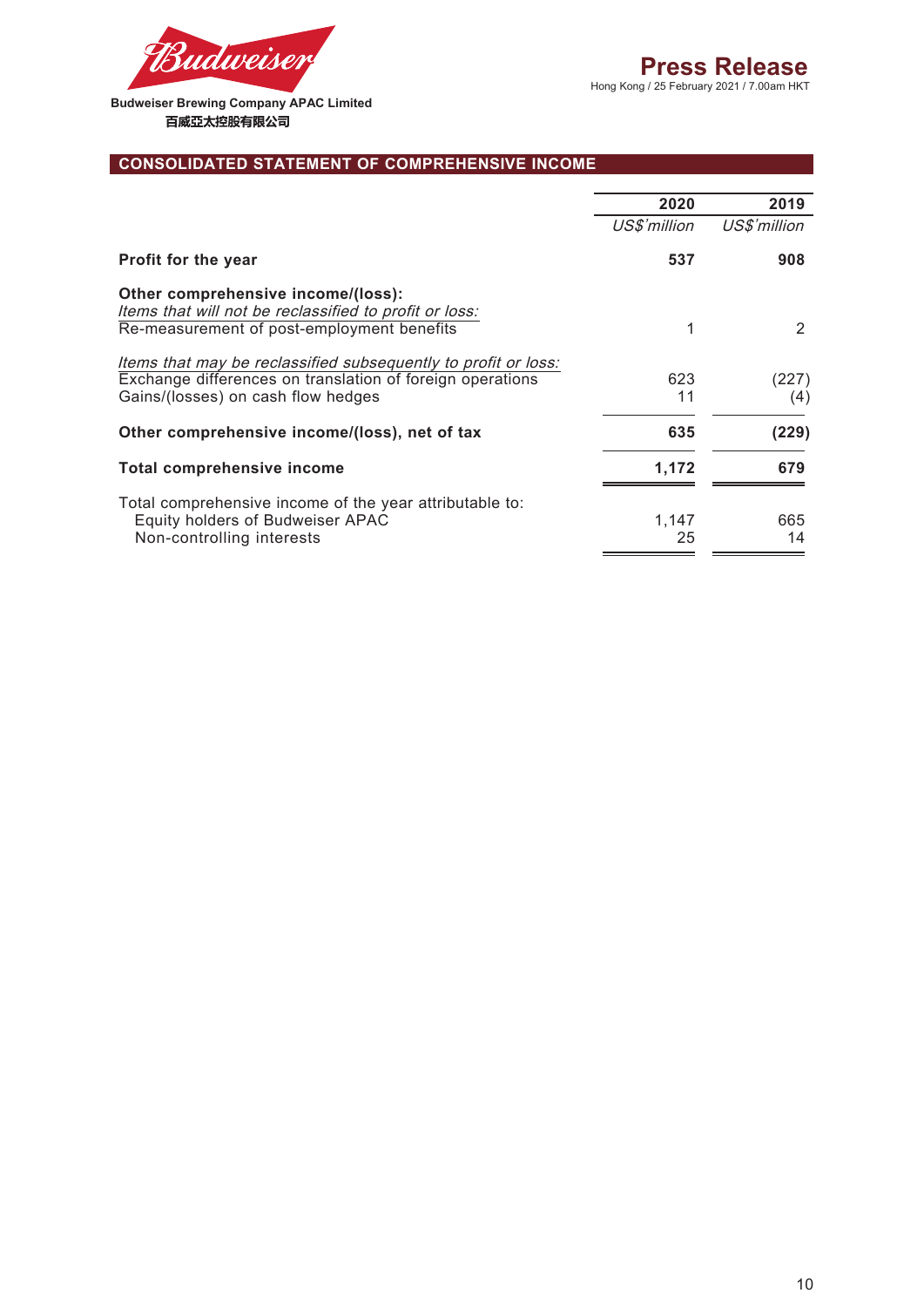

# **CONSOLIDATED STATEMENT OF COMPREHENSIVE INCOME**

|                                                                                              | 2020         | 2019          |
|----------------------------------------------------------------------------------------------|--------------|---------------|
|                                                                                              | US\$'million | US\$'million  |
| <b>Profit for the year</b>                                                                   | 537          | 908           |
| Other comprehensive income/(loss):<br>Items that will not be reclassified to profit or loss: |              |               |
| Re-measurement of post-employment benefits                                                   | 1            | $\mathcal{P}$ |
| Items that may be reclassified subsequently to profit or loss:                               |              |               |
| Exchange differences on translation of foreign operations                                    | 623          | (227)         |
| Gains/(losses) on cash flow hedges                                                           | 11           | (4)           |
| Other comprehensive income/(loss), net of tax                                                | 635          | (229)         |
| <b>Total comprehensive income</b>                                                            | 1,172        | 679           |
| Total comprehensive income of the year attributable to:                                      |              |               |
| Equity holders of Budweiser APAC                                                             | 1,147        | 665           |
| Non-controlling interests                                                                    | 25           | 14            |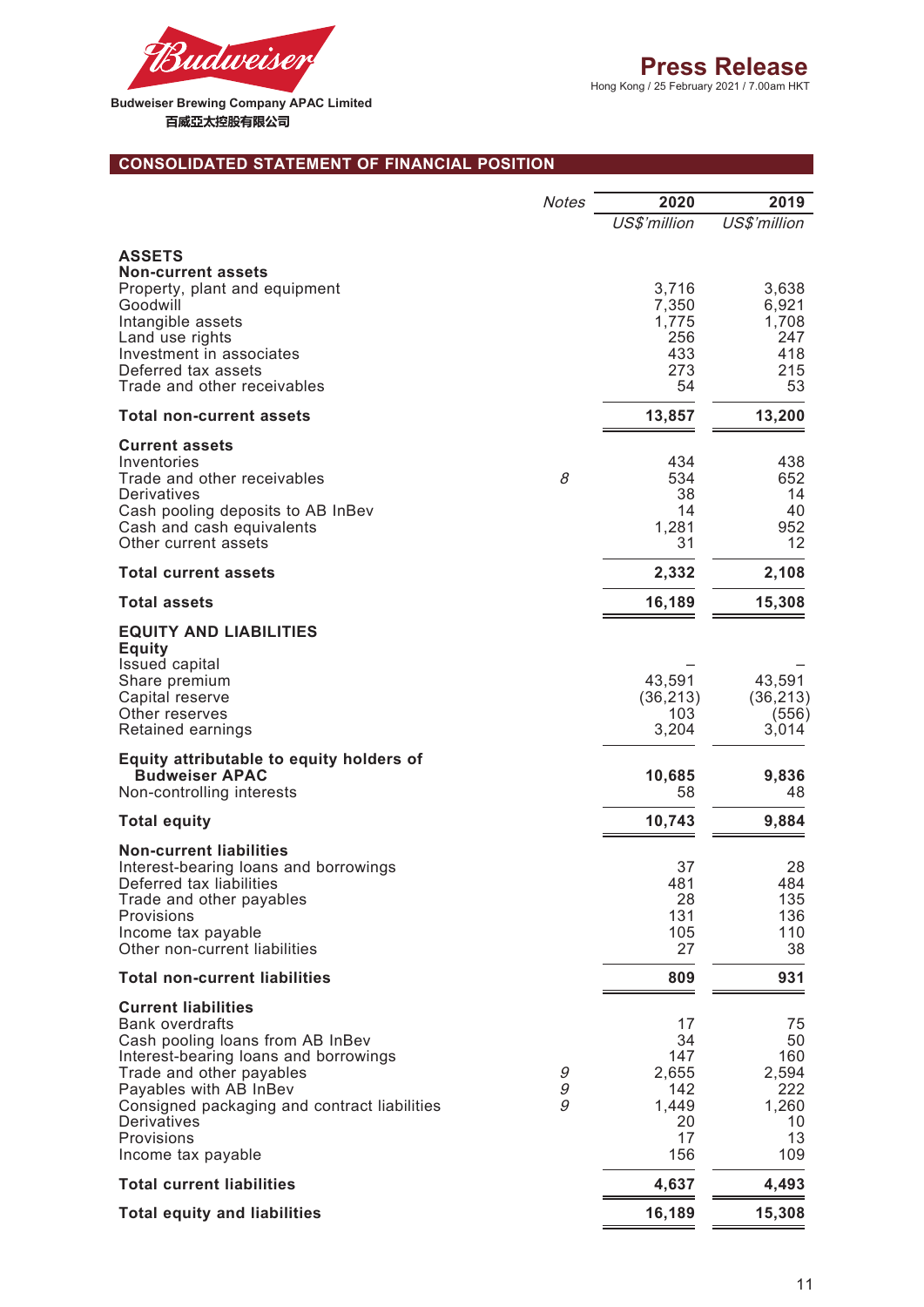

# **CONSOLIDATED STATEMENT OF FINANCIAL POSITION**

|                                                                                                                                                                                                                                                                                            | <b>Notes</b>           | 2020                                                        | 2019                                                        |
|--------------------------------------------------------------------------------------------------------------------------------------------------------------------------------------------------------------------------------------------------------------------------------------------|------------------------|-------------------------------------------------------------|-------------------------------------------------------------|
|                                                                                                                                                                                                                                                                                            |                        | US\$'million                                                | US\$'million                                                |
| <b>ASSETS</b><br><b>Non-current assets</b><br>Property, plant and equipment<br>Goodwill<br>Intangible assets                                                                                                                                                                               |                        | 3,716<br>7,350<br>1,775                                     | 3,638<br>6,921<br>1,708                                     |
| Land use rights<br>Investment in associates<br>Deferred tax assets<br>Trade and other receivables                                                                                                                                                                                          |                        | 256<br>433<br>273<br>54                                     | 247<br>418<br>215<br>53                                     |
| <b>Total non-current assets</b>                                                                                                                                                                                                                                                            |                        | 13,857                                                      | 13,200                                                      |
| <b>Current assets</b><br>Inventories<br>Trade and other receivables<br>Derivatives<br>Cash pooling deposits to AB InBev<br>Cash and cash equivalents<br>Other current assets                                                                                                               | 8                      | 434<br>534<br>38<br>14<br>1,281<br>31                       | 438<br>652<br>14<br>40<br>952<br>12                         |
| <b>Total current assets</b>                                                                                                                                                                                                                                                                |                        | 2,332                                                       | 2,108                                                       |
| <b>Total assets</b>                                                                                                                                                                                                                                                                        |                        | 16,189                                                      | 15,308                                                      |
| <b>EQUITY AND LIABILITIES</b><br><b>Equity</b><br>Issued capital                                                                                                                                                                                                                           |                        |                                                             |                                                             |
| Share premium<br>Capital reserve<br>Other reserves<br>Retained earnings                                                                                                                                                                                                                    |                        | 43,591<br>(36, 213)<br>103<br>3,204                         | 43,591<br>(36, 213)<br>(556)<br>3,014                       |
| Equity attributable to equity holders of<br><b>Budweiser APAC</b><br>Non-controlling interests                                                                                                                                                                                             |                        | 10,685<br>58                                                | 9,836<br>48                                                 |
| <b>Total equity</b>                                                                                                                                                                                                                                                                        |                        | 10,743                                                      | 9,884                                                       |
| <b>Non-current liabilities</b><br>Interest-bearing loans and borrowings<br>Deferred tax liabilities<br>Trade and other payables<br>Provisions<br>Income tax payable<br>Other non-current liabilities                                                                                       |                        | 37<br>481<br>28<br>131<br>105<br>27                         | 28<br>484<br>135<br>136<br>110<br>38                        |
| <b>Total non-current liabilities</b>                                                                                                                                                                                                                                                       |                        | 809                                                         | 931                                                         |
| <b>Current liabilities</b><br><b>Bank overdrafts</b><br>Cash pooling loans from AB InBev<br>Interest-bearing loans and borrowings<br>Trade and other payables<br>Payables with AB InBev<br>Consigned packaging and contract liabilities<br>Derivatives<br>Provisions<br>Income tax payable | 9<br>$\mathcal G$<br>9 | 17<br>34<br>147<br>2,655<br>142<br>1,449<br>20<br>17<br>156 | 75<br>50<br>160<br>2,594<br>222<br>1,260<br>10<br>13<br>109 |
| <b>Total current liabilities</b>                                                                                                                                                                                                                                                           |                        | 4,637                                                       | 4,493                                                       |
| <b>Total equity and liabilities</b>                                                                                                                                                                                                                                                        |                        | 16,189                                                      | 15,308                                                      |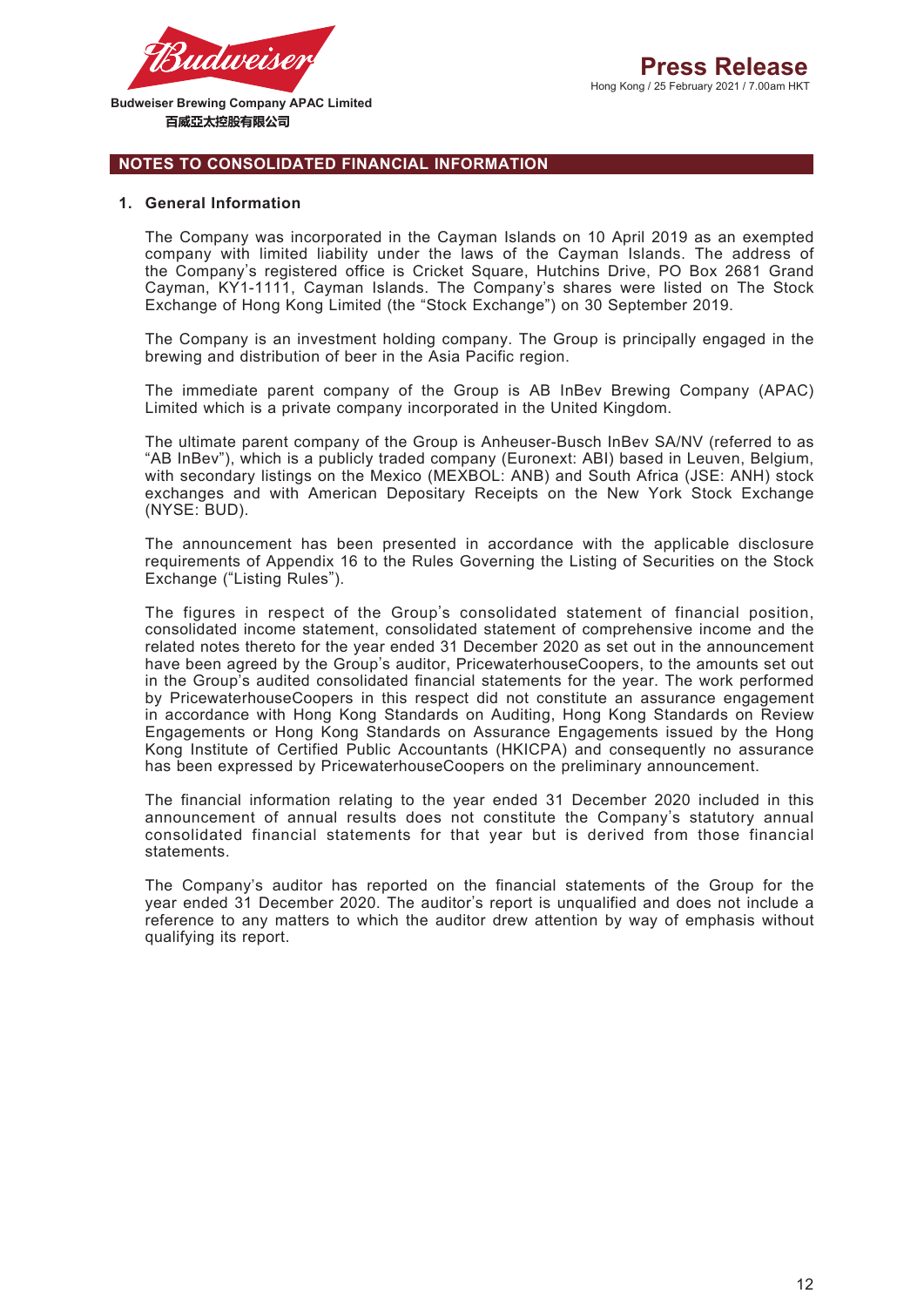

#### **NOTES TO CONSOLIDATED FINANCIAL INFORMATION**

#### **1. General Information**

The Company was incorporated in the Cayman Islands on 10 April 2019 as an exempted company with limited liability under the laws of the Cayman Islands. The address of the Company's registered office is Cricket Square, Hutchins Drive, PO Box 2681 Grand Cayman, KY1-1111, Cayman Islands. The Company's shares were listed on The Stock Exchange of Hong Kong Limited (the "Stock Exchange") on 30 September 2019.

The Company is an investment holding company. The Group is principally engaged in the brewing and distribution of beer in the Asia Pacific region.

The immediate parent company of the Group is AB InBev Brewing Company (APAC) Limited which is a private company incorporated in the United Kingdom.

The ultimate parent company of the Group is Anheuser-Busch InBev SA/NV (referred to as "AB InBev"), which is a publicly traded company (Euronext: ABI) based in Leuven, Belgium, with secondary listings on the Mexico (MEXBOL: ANB) and South Africa (JSE: ANH) stock exchanges and with American Depositary Receipts on the New York Stock Exchange (NYSE: BUD).

The announcement has been presented in accordance with the applicable disclosure requirements of Appendix 16 to the Rules Governing the Listing of Securities on the Stock Exchange ("Listing Rules").

The figures in respect of the Group's consolidated statement of financial position, consolidated income statement, consolidated statement of comprehensive income and the related notes thereto for the year ended 31 December 2020 as set out in the announcement have been agreed by the Group's auditor, PricewaterhouseCoopers, to the amounts set out in the Group's audited consolidated financial statements for the year. The work performed by PricewaterhouseCoopers in this respect did not constitute an assurance engagement in accordance with Hong Kong Standards on Auditing, Hong Kong Standards on Review Engagements or Hong Kong Standards on Assurance Engagements issued by the Hong Kong Institute of Certified Public Accountants (HKICPA) and consequently no assurance has been expressed by PricewaterhouseCoopers on the preliminary announcement.

The financial information relating to the year ended 31 December 2020 included in this announcement of annual results does not constitute the Company's statutory annual consolidated financial statements for that year but is derived from those financial statements.

The Company's auditor has reported on the financial statements of the Group for the year ended 31 December 2020. The auditor's report is unqualified and does not include a reference to any matters to which the auditor drew attention by way of emphasis without qualifying its report.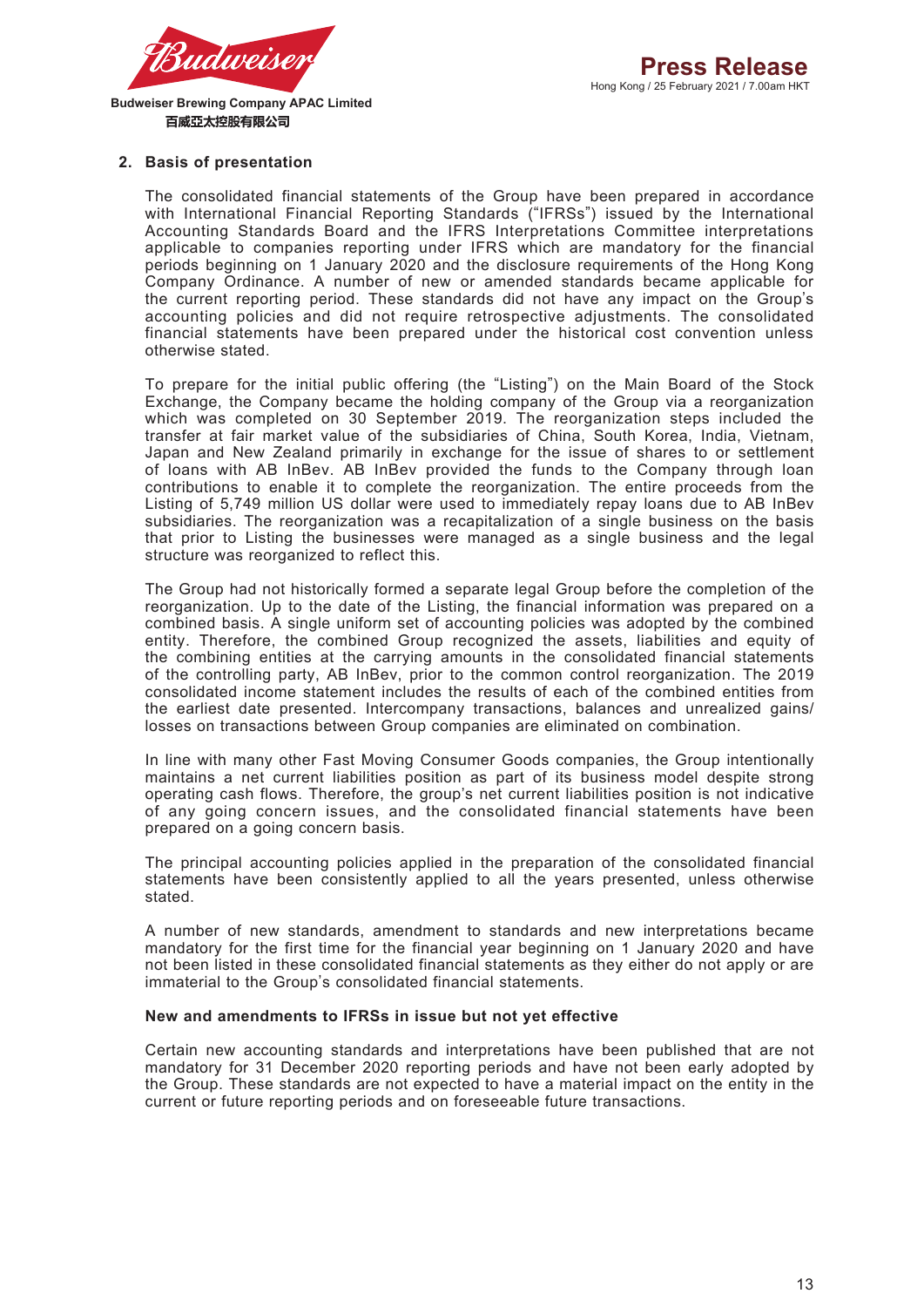

#### **2. Basis of presentation**

The consolidated financial statements of the Group have been prepared in accordance with International Financial Reporting Standards ("IFRSs") issued by the International Accounting Standards Board and the IFRS Interpretations Committee interpretations applicable to companies reporting under IFRS which are mandatory for the financial periods beginning on 1 January 2020 and the disclosure requirements of the Hong Kong Company Ordinance. A number of new or amended standards became applicable for the current reporting period. These standards did not have any impact on the Group's accounting policies and did not require retrospective adjustments. The consolidated financial statements have been prepared under the historical cost convention unless otherwise stated.

To prepare for the initial public offering (the "Listing") on the Main Board of the Stock Exchange, the Company became the holding company of the Group via a reorganization which was completed on 30 September 2019. The reorganization steps included the transfer at fair market value of the subsidiaries of China, South Korea, India, Vietnam, Japan and New Zealand primarily in exchange for the issue of shares to or settlement of loans with AB InBev. AB InBev provided the funds to the Company through loan contributions to enable it to complete the reorganization. The entire proceeds from the Listing of 5,749 million US dollar were used to immediately repay loans due to AB InBev subsidiaries. The reorganization was a recapitalization of a single business on the basis that prior to Listing the businesses were managed as a single business and the legal structure was reorganized to reflect this.

The Group had not historically formed a separate legal Group before the completion of the reorganization. Up to the date of the Listing, the financial information was prepared on a combined basis. A single uniform set of accounting policies was adopted by the combined entity. Therefore, the combined Group recognized the assets, liabilities and equity of the combining entities at the carrying amounts in the consolidated financial statements of the controlling party, AB InBev, prior to the common control reorganization. The 2019 consolidated income statement includes the results of each of the combined entities from the earliest date presented. Intercompany transactions, balances and unrealized gains/ losses on transactions between Group companies are eliminated on combination.

In line with many other Fast Moving Consumer Goods companies, the Group intentionally maintains a net current liabilities position as part of its business model despite strong operating cash flows. Therefore, the group's net current liabilities position is not indicative of any going concern issues, and the consolidated financial statements have been prepared on a going concern basis.

The principal accounting policies applied in the preparation of the consolidated financial statements have been consistently applied to all the years presented, unless otherwise stated.

A number of new standards, amendment to standards and new interpretations became mandatory for the first time for the financial year beginning on 1 January 2020 and have not been listed in these consolidated financial statements as they either do not apply or are immaterial to the Group's consolidated financial statements.

#### **New and amendments to IFRSs in issue but not yet effective**

Certain new accounting standards and interpretations have been published that are not mandatory for 31 December 2020 reporting periods and have not been early adopted by the Group. These standards are not expected to have a material impact on the entity in the current or future reporting periods and on foreseeable future transactions.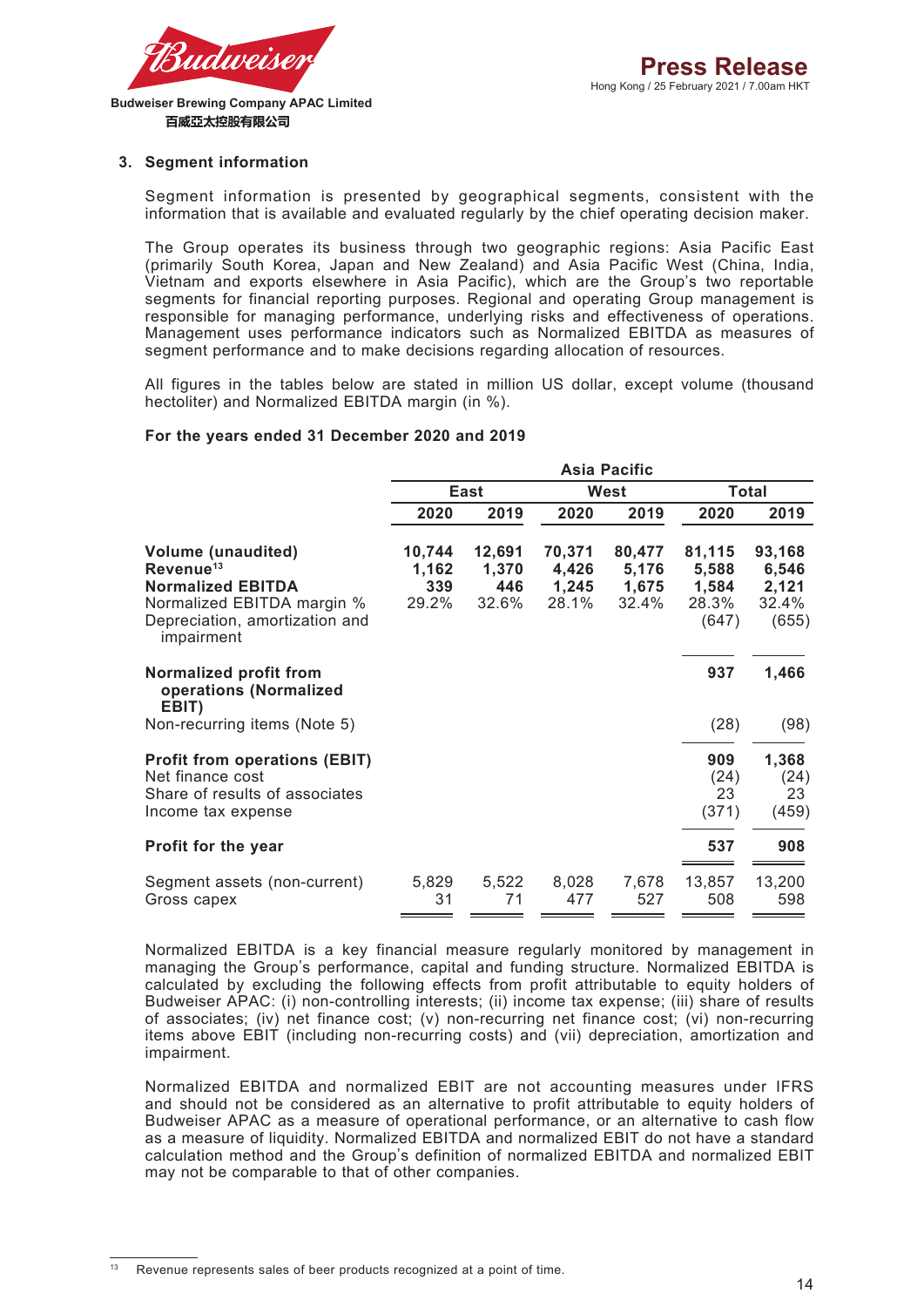

#### **3. Segment information**

Segment information is presented by geographical segments, consistent with the information that is available and evaluated regularly by the chief operating decision maker.

The Group operates its business through two geographic regions: Asia Pacific East (primarily South Korea, Japan and New Zealand) and Asia Pacific West (China, India, Vietnam and exports elsewhere in Asia Pacific), which are the Group's two reportable segments for financial reporting purposes. Regional and operating Group management is responsible for managing performance, underlying risks and effectiveness of operations. Management uses performance indicators such as Normalized EBITDA as measures of segment performance and to make decisions regarding allocation of resources.

All figures in the tables below are stated in million US dollar, except volume (thousand hectoliter) and Normalized EBITDA margin (in %).

#### **For the years ended 31 December 2020 and 2019**

|                                                                                                                                                              |                                 |                                 |                                   | <b>Asia Pacific</b>               |                                            |                                            |
|--------------------------------------------------------------------------------------------------------------------------------------------------------------|---------------------------------|---------------------------------|-----------------------------------|-----------------------------------|--------------------------------------------|--------------------------------------------|
|                                                                                                                                                              |                                 | East                            |                                   | West                              |                                            | <b>Total</b>                               |
|                                                                                                                                                              | 2020                            | 2019                            | 2020                              | 2019                              | 2020                                       | 2019                                       |
| <b>Volume (unaudited)</b><br>Revenue <sup>13</sup><br><b>Normalized EBITDA</b><br>Normalized EBITDA margin %<br>Depreciation, amortization and<br>impairment | 10,744<br>1,162<br>339<br>29.2% | 12,691<br>1,370<br>446<br>32.6% | 70,371<br>4,426<br>1,245<br>28.1% | 80,477<br>5,176<br>1,675<br>32.4% | 81,115<br>5,588<br>1,584<br>28.3%<br>(647) | 93,168<br>6,546<br>2,121<br>32.4%<br>(655) |
| Normalized profit from<br>operations (Normalized<br>EBIT)                                                                                                    |                                 |                                 |                                   |                                   | 937                                        | 1,466                                      |
| Non-recurring items (Note 5)                                                                                                                                 |                                 |                                 |                                   |                                   | (28)                                       | (98)                                       |
| <b>Profit from operations (EBIT)</b><br>Net finance cost<br>Share of results of associates<br>Income tax expense                                             |                                 |                                 |                                   |                                   | 909<br>(24)<br>23<br>(371)                 | 1,368<br>(24)<br>23<br>(459)               |
| Profit for the year                                                                                                                                          |                                 |                                 |                                   |                                   | 537                                        | 908                                        |
| Segment assets (non-current)<br>Gross capex                                                                                                                  | 5,829<br>31                     | 5,522<br>71                     | 8,028<br>477                      | 7,678<br>527                      | 13,857<br>508                              | 13,200<br>598                              |
|                                                                                                                                                              |                                 |                                 |                                   |                                   |                                            |                                            |

Normalized EBITDA is a key financial measure regularly monitored by management in managing the Group's performance, capital and funding structure. Normalized EBITDA is calculated by excluding the following effects from profit attributable to equity holders of Budweiser APAC: (i) non-controlling interests; (ii) income tax expense; (iii) share of results of associates; (iv) net finance cost; (v) non-recurring net finance cost; (vi) non-recurring items above EBIT (including non-recurring costs) and (vii) depreciation, amortization and impairment.

Normalized EBITDA and normalized EBIT are not accounting measures under IFRS and should not be considered as an alternative to profit attributable to equity holders of Budweiser APAC as a measure of operational performance, or an alternative to cash flow as a measure of liquidity. Normalized EBITDA and normalized EBIT do not have a standard calculation method and the Group's definition of normalized EBITDA and normalized EBIT may not be comparable to that of other companies.

Revenue represents sales of beer products recognized at a point of time.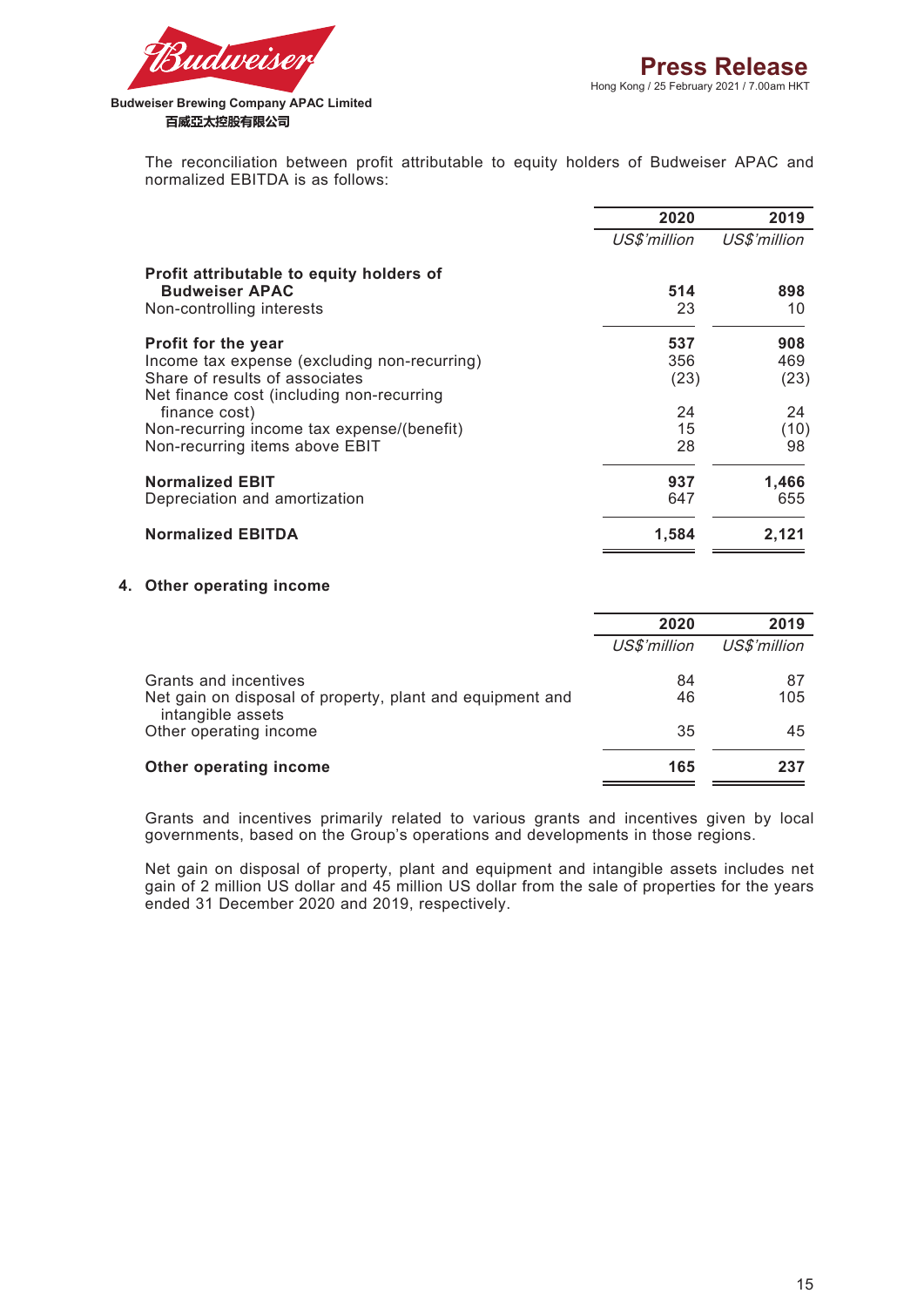



The reconciliation between profit attributable to equity holders of Budweiser APAC and normalized EBITDA is as follows:

|                                                                                                                             | 2020         | 2019         |
|-----------------------------------------------------------------------------------------------------------------------------|--------------|--------------|
|                                                                                                                             | US\$'million | US\$'million |
| Profit attributable to equity holders of<br><b>Budweiser APAC</b><br>Non-controlling interests                              | 514<br>23    | 898<br>10    |
| Profit for the year                                                                                                         | 537          | 908          |
| Income tax expense (excluding non-recurring)<br>Share of results of associates<br>Net finance cost (including non-recurring | 356<br>(23)  | 469<br>(23)  |
| finance cost)                                                                                                               | 24           | 24           |
| Non-recurring income tax expense/(benefit)<br>Non-recurring items above EBIT                                                | 15<br>28     | (10)<br>98   |
| <b>Normalized EBIT</b><br>Depreciation and amortization                                                                     | 937<br>647   | 1,466<br>655 |
| <b>Normalized EBITDA</b>                                                                                                    | 1,584        | 2,121        |

#### **4. Other operating income**

|                                                                                | 2020         | 2019         |
|--------------------------------------------------------------------------------|--------------|--------------|
|                                                                                | US\$'million | US\$'million |
| Grants and incentives                                                          | 84           | 87           |
| Net gain on disposal of property, plant and equipment and<br>intangible assets | 46           | 105          |
| Other operating income                                                         | 35           | 45           |
| Other operating income                                                         | 165          | 237          |
|                                                                                |              |              |

Grants and incentives primarily related to various grants and incentives given by local governments, based on the Group's operations and developments in those regions.

Net gain on disposal of property, plant and equipment and intangible assets includes net gain of 2 million US dollar and 45 million US dollar from the sale of properties for the years ended 31 December 2020 and 2019, respectively.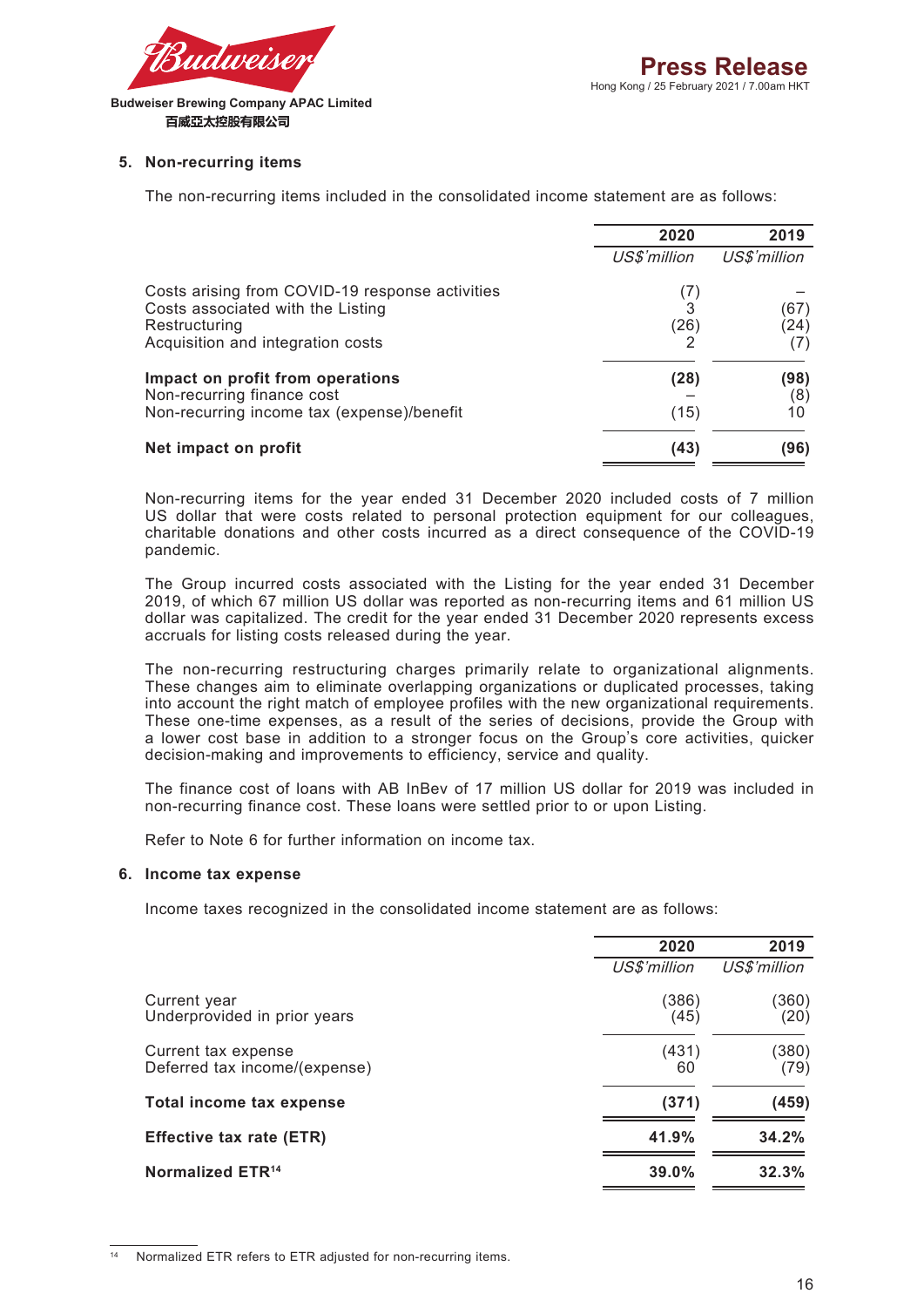

#### **5. Non-recurring items**

The non-recurring items included in the consolidated income statement are as follows:

|                                                                                                                                            | 2020             | 2019              |
|--------------------------------------------------------------------------------------------------------------------------------------------|------------------|-------------------|
|                                                                                                                                            | US\$'million     | US\$'million      |
| Costs arising from COVID-19 response activities<br>Costs associated with the Listing<br>Restructuring<br>Acquisition and integration costs | (7)<br>3<br>(26) | (67)<br>(24)      |
| Impact on profit from operations<br>Non-recurring finance cost<br>Non-recurring income tax (expense)/benefit                               | (28)<br>(15)     | (98)<br>(8)<br>10 |
| Net impact on profit                                                                                                                       | (43)             | (96)              |

Non-recurring items for the year ended 31 December 2020 included costs of 7 million US dollar that were costs related to personal protection equipment for our colleagues, charitable donations and other costs incurred as a direct consequence of the COVID-19 pandemic.

The Group incurred costs associated with the Listing for the year ended 31 December 2019, of which 67 million US dollar was reported as non-recurring items and 61 million US dollar was capitalized. The credit for the year ended 31 December 2020 represents excess accruals for listing costs released during the year.

The non-recurring restructuring charges primarily relate to organizational alignments. These changes aim to eliminate overlapping organizations or duplicated processes, taking into account the right match of employee profiles with the new organizational requirements. These one-time expenses, as a result of the series of decisions, provide the Group with a lower cost base in addition to a stronger focus on the Group's core activities, quicker decision-making and improvements to efficiency, service and quality.

The finance cost of loans with AB InBev of 17 million US dollar for 2019 was included in non-recurring finance cost. These loans were settled prior to or upon Listing.

Refer to Note 6 for further information on income tax.

#### **6. Income tax expense**

Income taxes recognized in the consolidated income statement are as follows:

| 2020<br>US\$'million | 2019<br>US\$'million |
|----------------------|----------------------|
|                      |                      |
|                      |                      |
| (386)<br>(45)        | (360)<br>(20)        |
| (431)<br>60          | (380)<br>(79)        |
| (371)                | (459)                |
| 41.9%                | 34.2%                |
| 39.0%                | 32.3%                |
|                      |                      |

Normalized ETR refers to ETR adjusted for non-recurring items.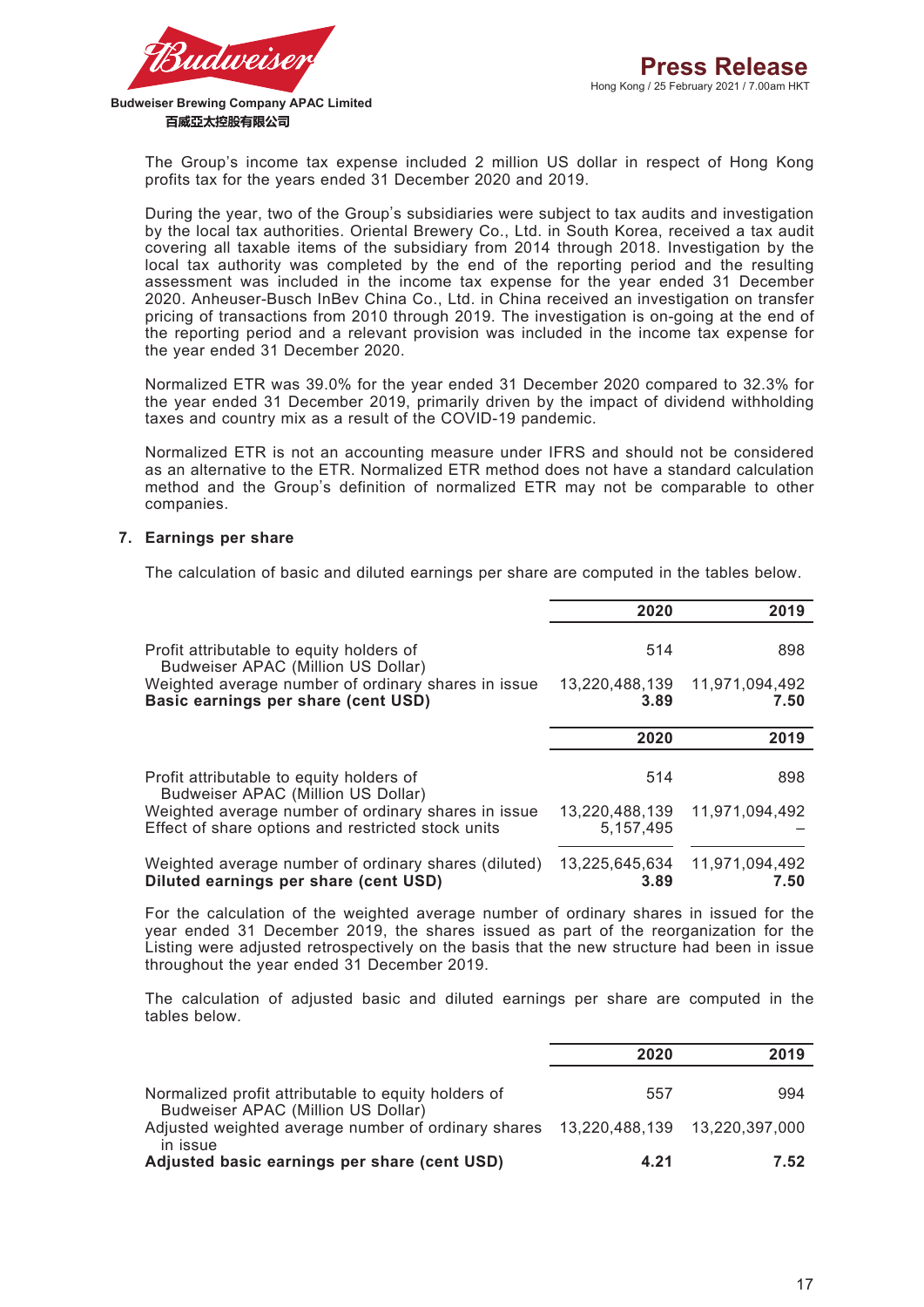

> The Group's income tax expense included 2 million US dollar in respect of Hong Kong profits tax for the years ended 31 December 2020 and 2019.

> During the year, two of the Group's subsidiaries were subject to tax audits and investigation by the local tax authorities. Oriental Brewery Co., Ltd. in South Korea, received a tax audit covering all taxable items of the subsidiary from 2014 through 2018. Investigation by the local tax authority was completed by the end of the reporting period and the resulting assessment was included in the income tax expense for the year ended 31 December 2020. Anheuser-Busch InBev China Co., Ltd. in China received an investigation on transfer pricing of transactions from 2010 through 2019. The investigation is on-going at the end of the reporting period and a relevant provision was included in the income tax expense for the year ended 31 December 2020.

> Normalized ETR was 39.0% for the year ended 31 December 2020 compared to 32.3% for the year ended 31 December 2019, primarily driven by the impact of dividend withholding taxes and country mix as a result of the COVID-19 pandemic.

> Normalized ETR is not an accounting measure under IFRS and should not be considered as an alternative to the ETR. Normalized ETR method does not have a standard calculation method and the Group's definition of normalized ETR may not be comparable to other companies.

#### **7. Earnings per share**

The calculation of basic and diluted earnings per share are computed in the tables below.

|                                                                                               | 2020                   | 2019                   |
|-----------------------------------------------------------------------------------------------|------------------------|------------------------|
| Profit attributable to equity holders of<br>Budweiser APAC (Million US Dollar)                | 514                    | 898                    |
| Weighted average number of ordinary shares in issue<br>Basic earnings per share (cent USD)    | 13,220,488,139<br>3.89 | 11,971,094,492<br>7.50 |
|                                                                                               | 2020                   | 2019                   |
|                                                                                               |                        |                        |
| Profit attributable to equity holders of<br>Budweiser APAC (Million US Dollar)                | 514                    | 898                    |
| Weighted average number of ordinary shares in issue                                           | 13,220,488,139         | 11,971,094,492         |
| Effect of share options and restricted stock units                                            | 5, 157, 495            |                        |
| Weighted average number of ordinary shares (diluted)<br>Diluted earnings per share (cent USD) | 13,225,645,634<br>3.89 | 11,971,094,492<br>7.50 |

For the calculation of the weighted average number of ordinary shares in issued for the year ended 31 December 2019, the shares issued as part of the reorganization for the Listing were adjusted retrospectively on the basis that the new structure had been in issue throughout the year ended 31 December 2019.

The calculation of adjusted basic and diluted earnings per share are computed in the tables below.

|                                                     | 2020                          | 2019 |
|-----------------------------------------------------|-------------------------------|------|
|                                                     |                               |      |
| Normalized profit attributable to equity holders of | 557                           | 994  |
| Budweiser APAC (Million US Dollar)                  |                               |      |
| Adjusted weighted average number of ordinary shares | 13,220,488,139 13,220,397,000 |      |
| in issue                                            |                               |      |
| Adjusted basic earnings per share (cent USD)        | 4.21                          | 7.52 |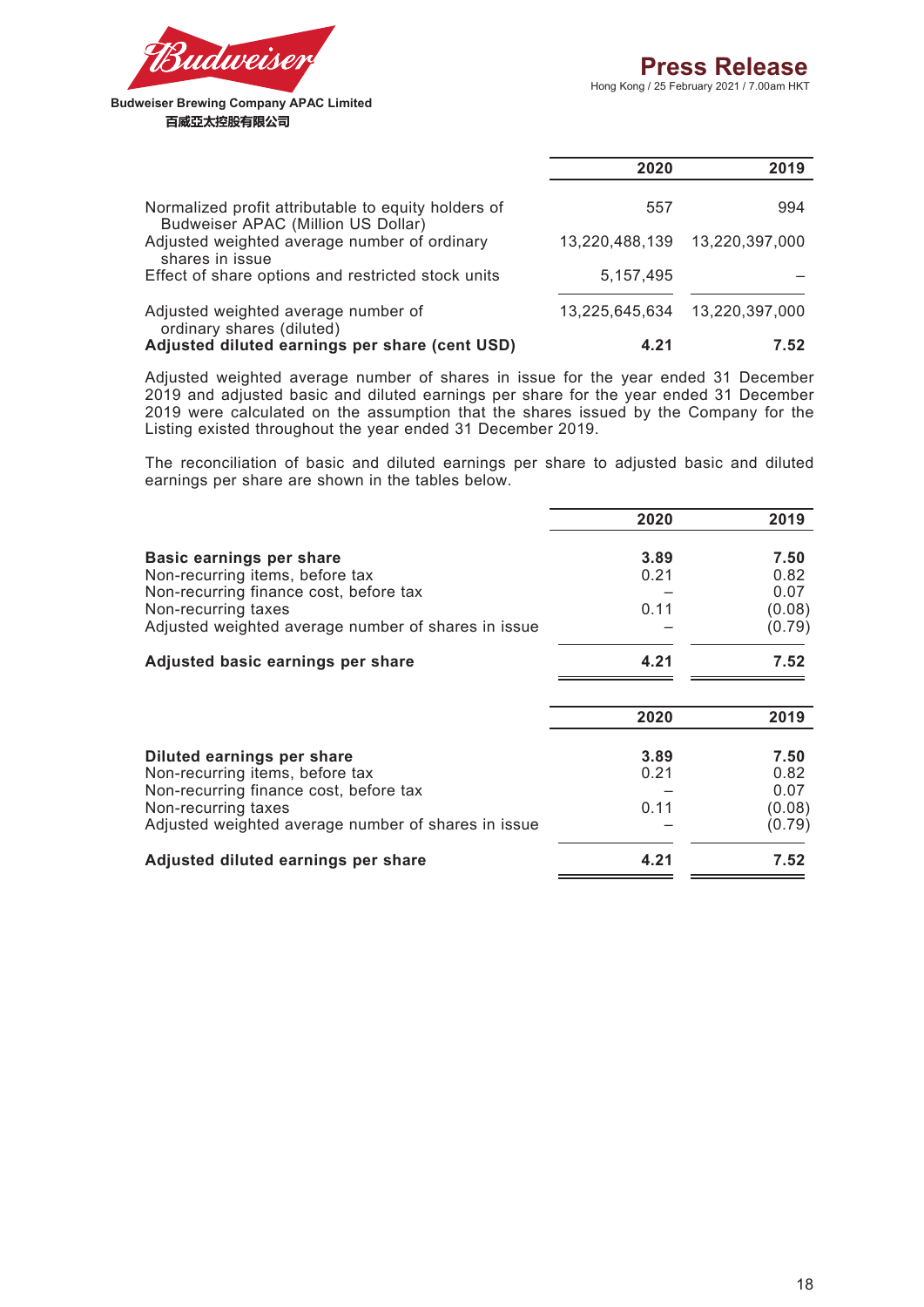

|                                                                                           | 2020           | 2019           |
|-------------------------------------------------------------------------------------------|----------------|----------------|
| Normalized profit attributable to equity holders of<br>Budweiser APAC (Million US Dollar) | 557            | 994            |
| Adjusted weighted average number of ordinary<br>shares in issue                           | 13,220,488,139 | 13,220,397,000 |
| Effect of share options and restricted stock units                                        | 5.157.495      |                |
| Adjusted weighted average number of<br>ordinary shares (diluted)                          | 13.225.645.634 | 13,220,397,000 |
| Adjusted diluted earnings per share (cent USD)                                            | 4.21           | 7.52           |

Adjusted weighted average number of shares in issue for the year ended 31 December 2019 and adjusted basic and diluted earnings per share for the year ended 31 December 2019 were calculated on the assumption that the shares issued by the Company for the Listing existed throughout the year ended 31 December 2019.

The reconciliation of basic and diluted earnings per share to adjusted basic and diluted earnings per share are shown in the tables below.

|                                                     | 2020 | 2019   |
|-----------------------------------------------------|------|--------|
| Basic earnings per share                            | 3.89 | 7.50   |
| Non-recurring items, before tax                     | 0.21 | 0.82   |
| Non-recurring finance cost, before tax              |      | 0.07   |
| Non-recurring taxes                                 | 0.11 | (0.08) |
| Adjusted weighted average number of shares in issue |      | (0.79) |
| Adjusted basic earnings per share                   | 4.21 | 7.52   |
|                                                     | 2020 | 2019   |
| Diluted earnings per share                          | 3.89 | 7.50   |
| Non-recurring items, before tax                     | 0.21 | 0.82   |
| Non-recurring finance cost, before tax              |      | 0.07   |
| Non-recurring taxes                                 | 0.11 | (0.08) |
| Adjusted weighted average number of shares in issue |      | (0.79) |
| Adjusted diluted earnings per share                 | 4.21 | 7.52   |
|                                                     |      |        |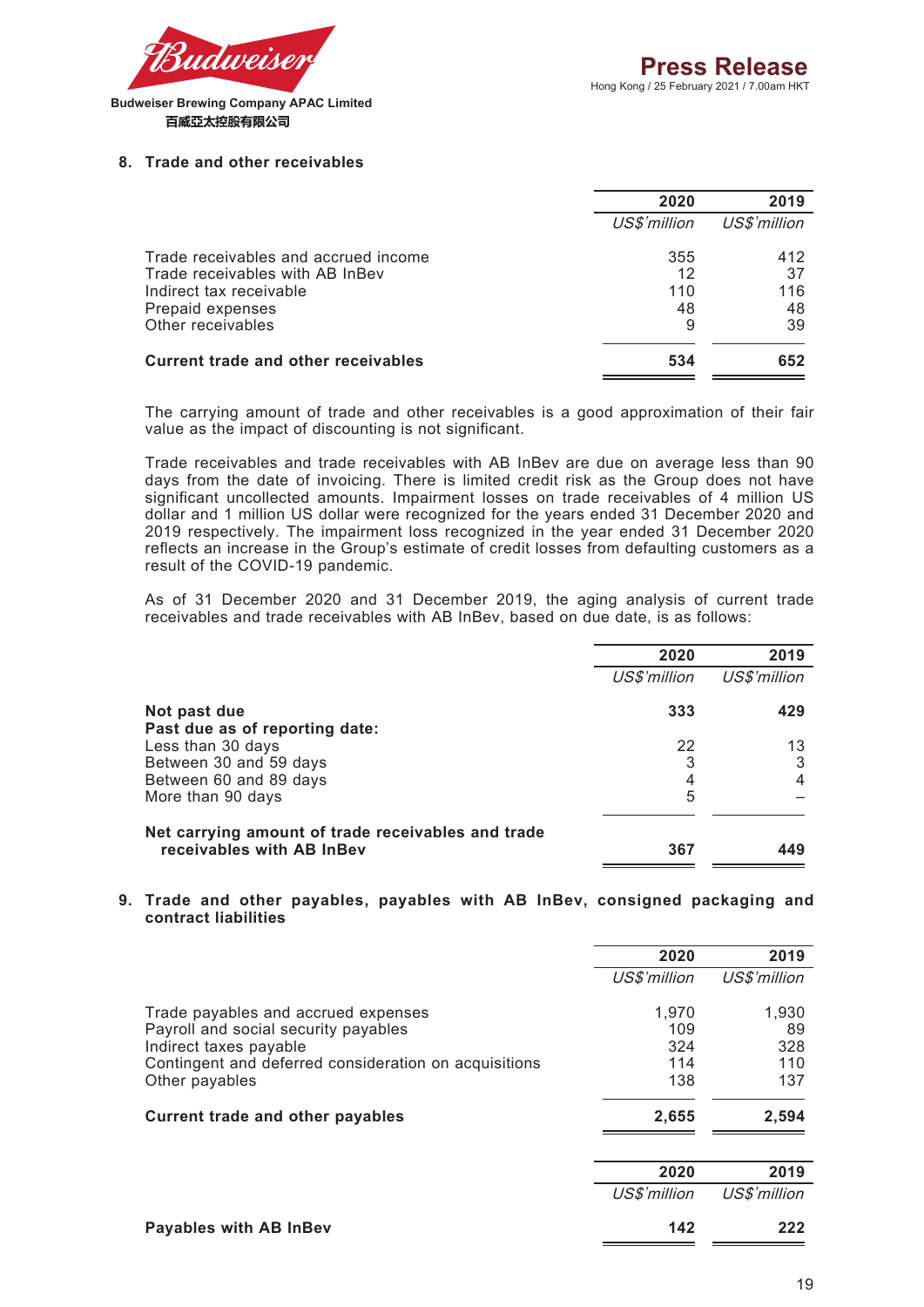

#### **8. Trade and other receivables**

|                                            | 2020         | 2019         |
|--------------------------------------------|--------------|--------------|
|                                            | US\$'million | US\$'million |
| Trade receivables and accrued income       | 355          | 412          |
| Trade receivables with AB InBev            | 12           | 37           |
| Indirect tax receivable                    | 110          | 116          |
| Prepaid expenses                           | 48           | 48           |
| Other receivables                          | 9            | 39           |
| <b>Current trade and other receivables</b> | 534          | 652          |
|                                            |              |              |

The carrying amount of trade and other receivables is a good approximation of their fair value as the impact of discounting is not significant.

Trade receivables and trade receivables with AB InBev are due on average less than 90 days from the date of invoicing. There is limited credit risk as the Group does not have significant uncollected amounts. Impairment losses on trade receivables of 4 million US dollar and 1 million US dollar were recognized for the years ended 31 December 2020 and 2019 respectively. The impairment loss recognized in the year ended 31 December 2020 reflects an increase in the Group's estimate of credit losses from defaulting customers as a result of the COVID-19 pandemic.

As of 31 December 2020 and 31 December 2019, the aging analysis of current trade receivables and trade receivables with AB InBev, based on due date, is as follows:

|                                                                                 | 2020         | 2019         |
|---------------------------------------------------------------------------------|--------------|--------------|
|                                                                                 | US\$'million | US\$'million |
| Not past due                                                                    | 333          | 429          |
| Past due as of reporting date:                                                  |              |              |
| Less than 30 days                                                               | 22           | 13           |
| Between 30 and 59 days                                                          | 3            | 3            |
| Between 60 and 89 days                                                          | 4            | 4            |
| More than 90 days                                                               | 5            |              |
| Net carrying amount of trade receivables and trade<br>receivables with AB InBev | 367          |              |

#### **9. Trade and other payables, payables with AB InBev, consigned packaging and contract liabilities**

|                                                       | 2020         | 2019         |
|-------------------------------------------------------|--------------|--------------|
|                                                       | US\$'million | US\$'million |
| Trade payables and accrued expenses                   | 1,970        | 1,930        |
| Payroll and social security payables                  | 109          | 89           |
| Indirect taxes payable                                | 324          | 328          |
| Contingent and deferred consideration on acquisitions | 114          | 110          |
| Other payables                                        | 138          | 137          |
| <b>Current trade and other payables</b>               | 2,655        | 2,594        |
|                                                       |              |              |
|                                                       | 2020         | 2019         |
|                                                       | US\$'million | US\$'million |
| Payables with AB InBev                                | 142          | 222          |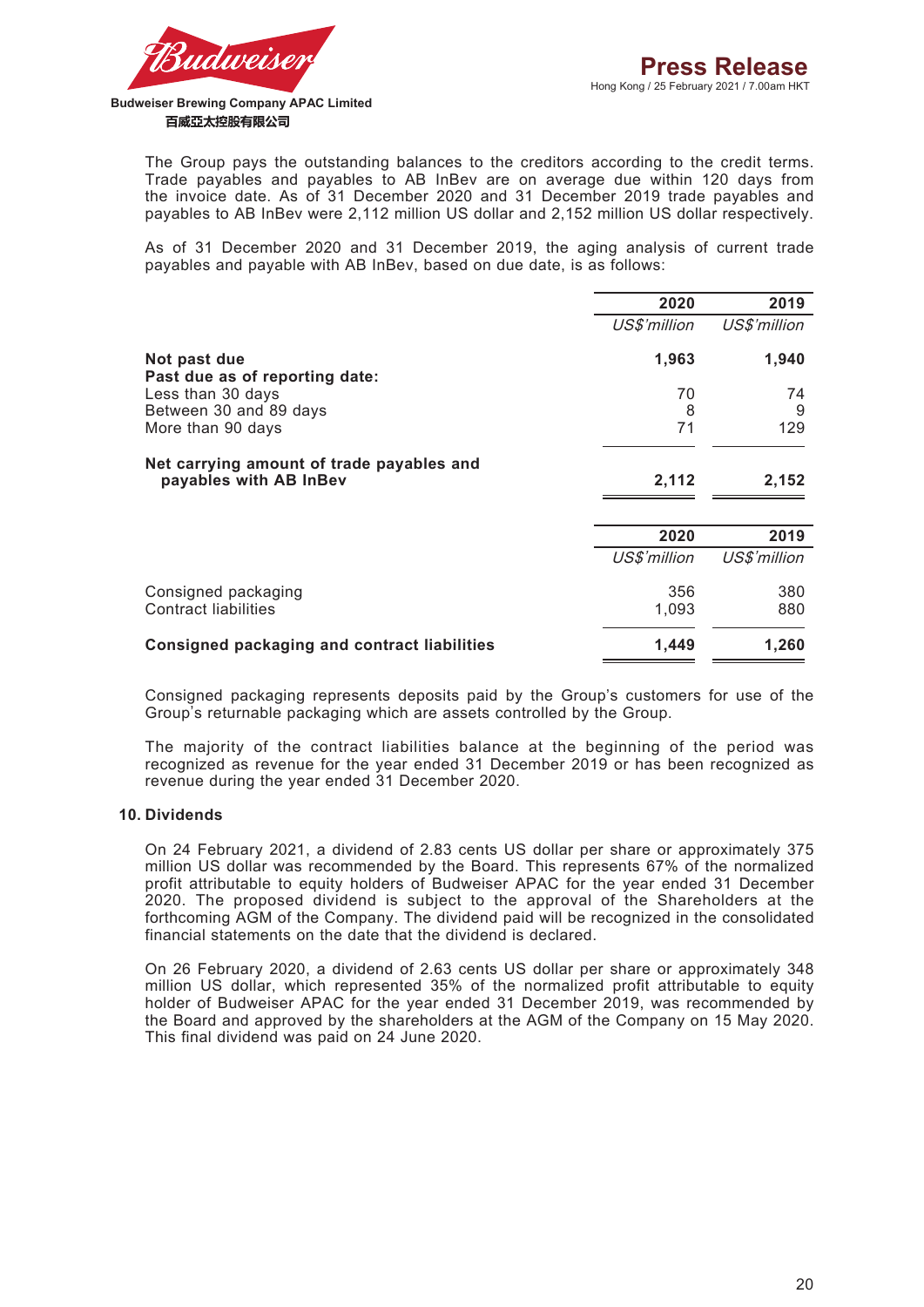

The Group pays the outstanding balances to the creditors according to the credit terms. Trade payables and payables to AB InBev are on average due within 120 days from the invoice date. As of 31 December 2020 and 31 December 2019 trade payables and payables to AB InBev were 2,112 million US dollar and 2,152 million US dollar respectively.

As of 31 December 2020 and 31 December 2019, the aging analysis of current trade payables and payable with AB InBev, based on due date, is as follows:

|                                                     | 2020         | 2019         |
|-----------------------------------------------------|--------------|--------------|
|                                                     | US\$'million | US\$'million |
| Not past due<br>Past due as of reporting date:      | 1,963        | 1,940        |
| Less than 30 days                                   | 70           | 74           |
| Between 30 and 89 days                              | 8            | 9            |
| More than 90 days                                   | 71           | 129          |
| Net carrying amount of trade payables and           |              |              |
| payables with AB InBev                              | 2,112        | 2,152        |
|                                                     |              |              |
|                                                     | 2020         | 2019         |
|                                                     | US\$'million | US\$'million |
| Consigned packaging                                 | 356          | 380          |
| <b>Contract liabilities</b>                         | 1,093        | 880          |
| <b>Consigned packaging and contract liabilities</b> | 1,449        | 1,260        |

Consigned packaging represents deposits paid by the Group's customers for use of the Group's returnable packaging which are assets controlled by the Group.

The majority of the contract liabilities balance at the beginning of the period was recognized as revenue for the year ended 31 December 2019 or has been recognized as revenue during the year ended 31 December 2020.

#### **10. Dividends**

On 24 February 2021, a dividend of 2.83 cents US dollar per share or approximately 375 million US dollar was recommended by the Board. This represents 67% of the normalized profit attributable to equity holders of Budweiser APAC for the year ended 31 December 2020. The proposed dividend is subject to the approval of the Shareholders at the forthcoming AGM of the Company. The dividend paid will be recognized in the consolidated financial statements on the date that the dividend is declared.

On 26 February 2020, a dividend of 2.63 cents US dollar per share or approximately 348 million US dollar, which represented 35% of the normalized profit attributable to equity holder of Budweiser APAC for the year ended 31 December 2019, was recommended by the Board and approved by the shareholders at the AGM of the Company on 15 May 2020. This final dividend was paid on 24 June 2020.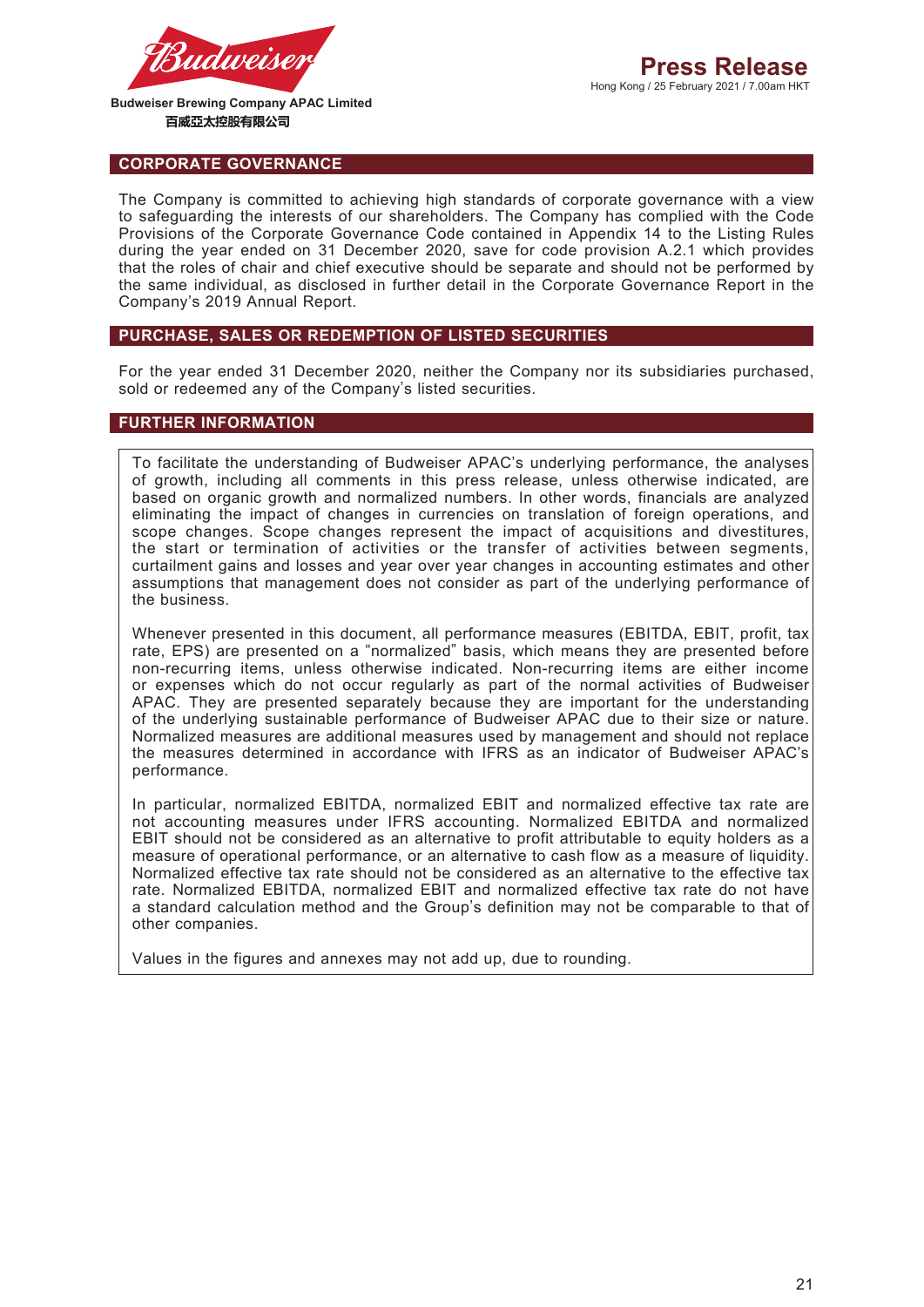

#### **CORPORATE GOVERNANCE**

The Company is committed to achieving high standards of corporate governance with a view to safeguarding the interests of our shareholders. The Company has complied with the Code Provisions of the Corporate Governance Code contained in Appendix 14 to the Listing Rules during the year ended on 31 December 2020, save for code provision A.2.1 which provides that the roles of chair and chief executive should be separate and should not be performed by the same individual, as disclosed in further detail in the Corporate Governance Report in the Company's 2019 Annual Report.

### **PURCHASE, SALES OR REDEMPTION OF LISTED SECURITIES**

For the year ended 31 December 2020, neither the Company nor its subsidiaries purchased, sold or redeemed any of the Company's listed securities.

### **FURTHER INFORMATION**

To facilitate the understanding of Budweiser APAC's underlying performance, the analyses of growth, including all comments in this press release, unless otherwise indicated, are based on organic growth and normalized numbers. In other words, financials are analyzed eliminating the impact of changes in currencies on translation of foreign operations, and scope changes. Scope changes represent the impact of acquisitions and divestitures, the start or termination of activities or the transfer of activities between segments, curtailment gains and losses and year over year changes in accounting estimates and other assumptions that management does not consider as part of the underlying performance of the business.

Whenever presented in this document, all performance measures (EBITDA, EBIT, profit, tax rate, EPS) are presented on a "normalized" basis, which means they are presented before non-recurring items, unless otherwise indicated. Non-recurring items are either income or expenses which do not occur regularly as part of the normal activities of Budweiser APAC. They are presented separately because they are important for the understanding of the underlying sustainable performance of Budweiser APAC due to their size or nature. Normalized measures are additional measures used by management and should not replace the measures determined in accordance with IFRS as an indicator of Budweiser APAC's performance.

In particular, normalized EBITDA, normalized EBIT and normalized effective tax rate are not accounting measures under IFRS accounting. Normalized EBITDA and normalized EBIT should not be considered as an alternative to profit attributable to equity holders as a measure of operational performance, or an alternative to cash flow as a measure of liquidity. Normalized effective tax rate should not be considered as an alternative to the effective tax rate. Normalized EBITDA, normalized EBIT and normalized effective tax rate do not have a standard calculation method and the Group's definition may not be comparable to that of other companies.

Values in the figures and annexes may not add up, due to rounding.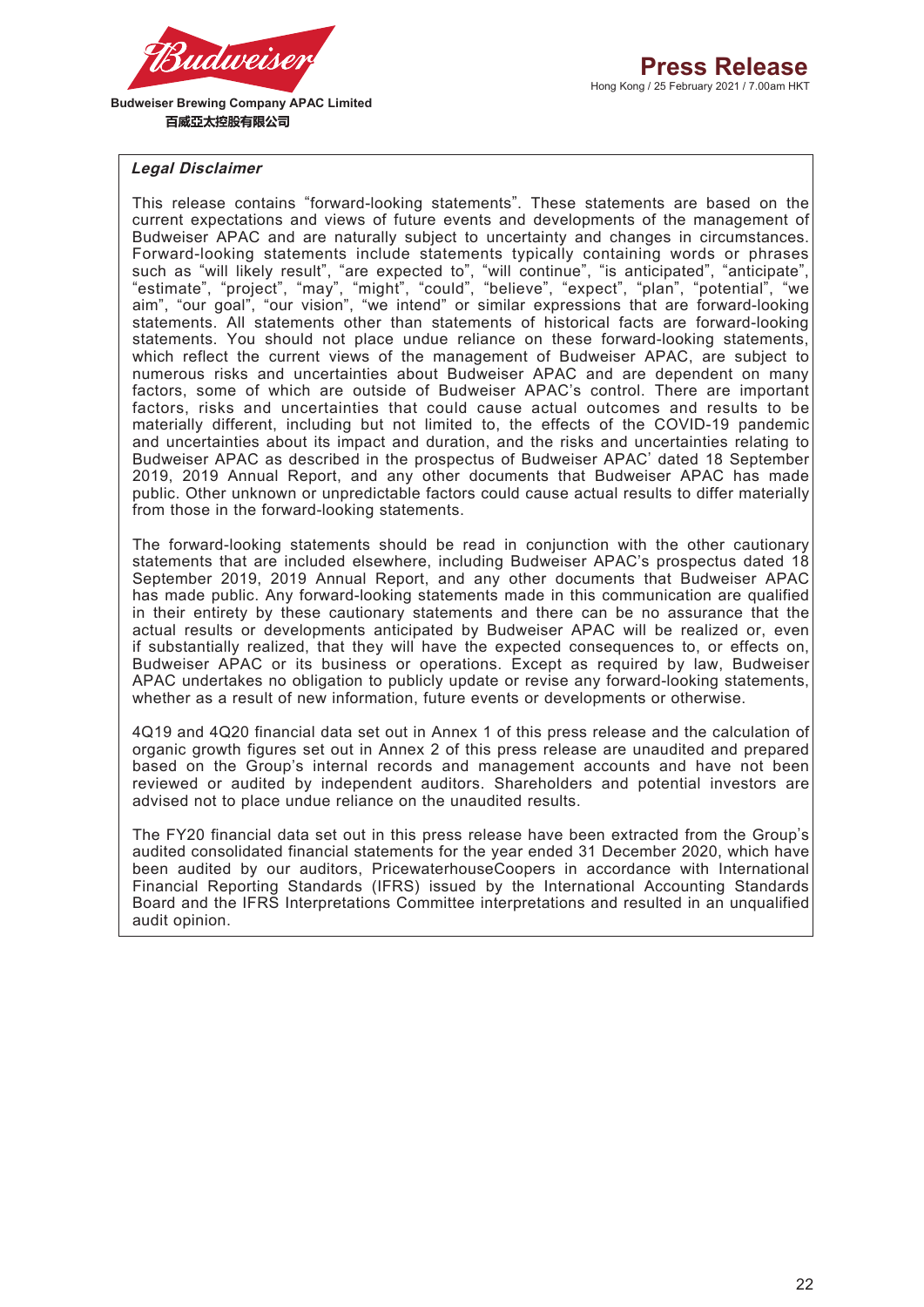

### **Legal Disclaimer**

This release contains "forward-looking statements". These statements are based on the current expectations and views of future events and developments of the management of Budweiser APAC and are naturally subject to uncertainty and changes in circumstances. Forward-looking statements include statements typically containing words or phrases such as "will likely result", "are expected to", "will continue", "is anticipated", "anticipate", "estimate", "project", "may", "might", "could", "believe", "expect", "plan", "potential", "we aim", "our goal", "our vision", "we intend" or similar expressions that are forward-looking statements. All statements other than statements of historical facts are forward-looking statements. You should not place undue reliance on these forward-looking statements, which reflect the current views of the management of Budweiser APAC, are subject to numerous risks and uncertainties about Budweiser APAC and are dependent on many factors, some of which are outside of Budweiser APAC's control. There are important factors, risks and uncertainties that could cause actual outcomes and results to be materially different, including but not limited to, the effects of the COVID-19 pandemic and uncertainties about its impact and duration, and the risks and uncertainties relating to Budweiser APAC as described in the prospectus of Budweiser APAC' dated 18 September 2019, 2019 Annual Report, and any other documents that Budweiser APAC has made public. Other unknown or unpredictable factors could cause actual results to differ materially from those in the forward-looking statements.

The forward-looking statements should be read in conjunction with the other cautionary statements that are included elsewhere, including Budweiser APAC's prospectus dated 18 September 2019, 2019 Annual Report, and any other documents that Budweiser APAC has made public. Any forward-looking statements made in this communication are qualified in their entirety by these cautionary statements and there can be no assurance that the actual results or developments anticipated by Budweiser APAC will be realized or, even if substantially realized, that they will have the expected consequences to, or effects on, Budweiser APAC or its business or operations. Except as required by law, Budweiser APAC undertakes no obligation to publicly update or revise any forward-looking statements, whether as a result of new information, future events or developments or otherwise.

4Q19 and 4Q20 financial data set out in Annex 1 of this press release and the calculation of organic growth figures set out in Annex 2 of this press release are unaudited and prepared based on the Group's internal records and management accounts and have not been reviewed or audited by independent auditors. Shareholders and potential investors are advised not to place undue reliance on the unaudited results.

The FY20 financial data set out in this press release have been extracted from the Group's audited consolidated financial statements for the year ended 31 December 2020, which have been audited by our auditors, PricewaterhouseCoopers in accordance with International Financial Reporting Standards (IFRS) issued by the International Accounting Standards Board and the IFRS Interpretations Committee interpretations and resulted in an unqualified audit opinion.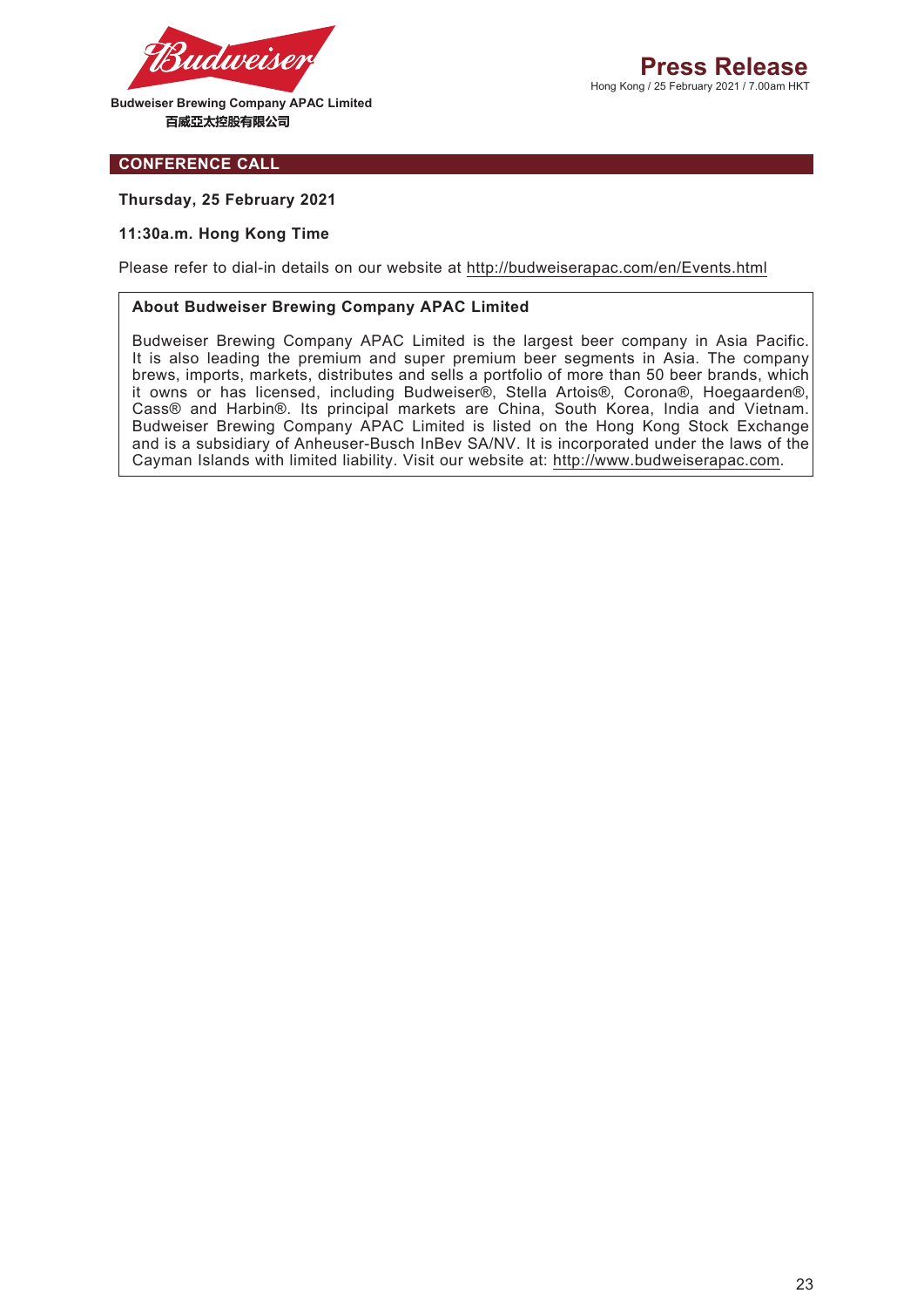

#### **CONFERENCE CALL**

#### **Thursday, 25 February 2021**

#### **11:30a.m. Hong Kong Time**

Please refer to dial-in details on our website at http://budweiserapac.com/en/Events.html

#### **About Budweiser Brewing Company APAC Limited**

Budweiser Brewing Company APAC Limited is the largest beer company in Asia Pacific. It is also leading the premium and super premium beer segments in Asia. The company brews, imports, markets, distributes and sells a portfolio of more than 50 beer brands, which it owns or has licensed, including Budweiser®, Stella Artois®, Corona®, Hoegaarden®, Cass® and Harbin®. Its principal markets are China, South Korea, India and Vietnam. Budweiser Brewing Company APAC Limited is listed on the Hong Kong Stock Exchange and is a subsidiary of Anheuser-Busch InBev SA/NV. It is incorporated under the laws of the Cayman Islands with limited liability. Visit our website at: http://www.budweiserapac.com.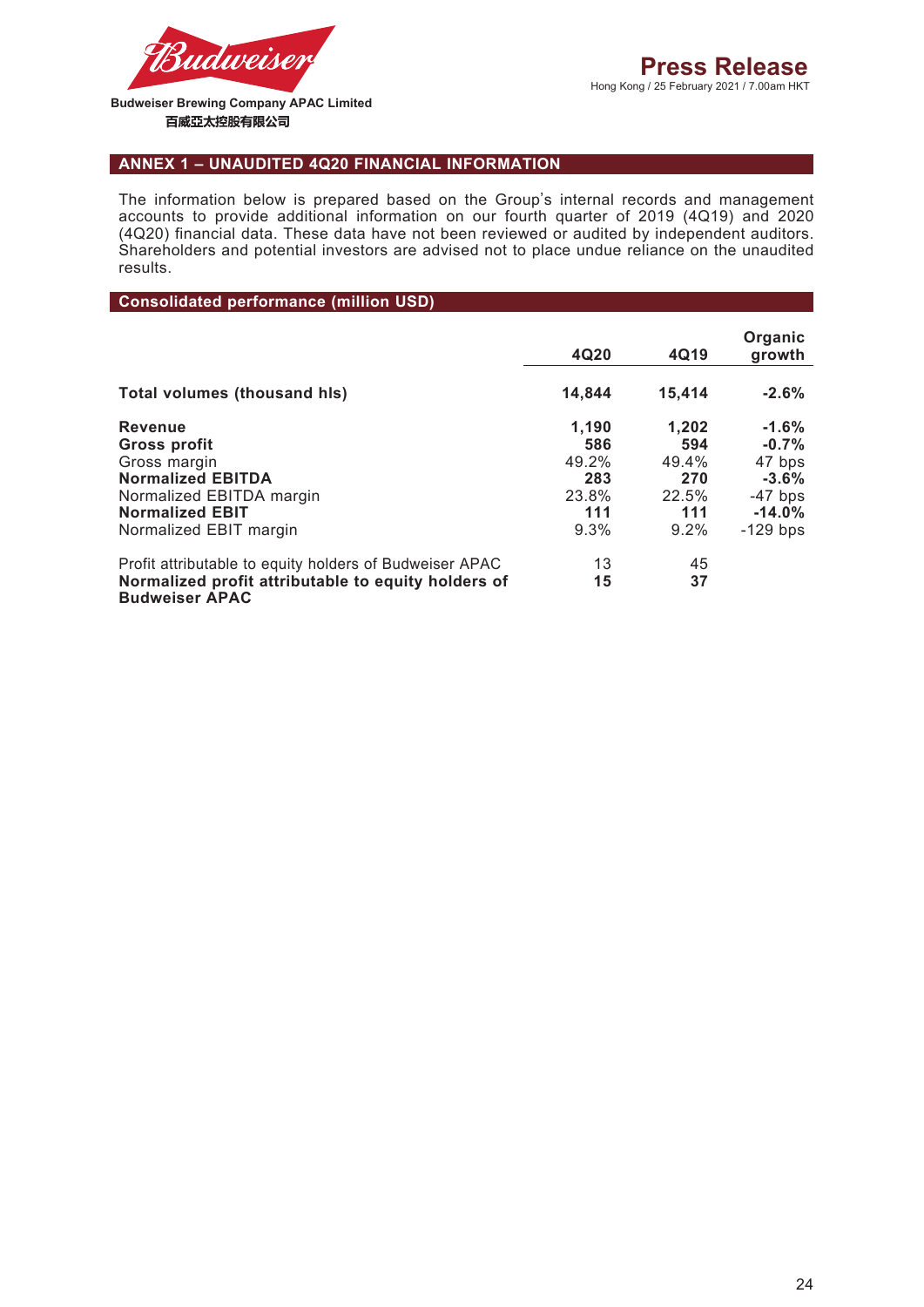

## **ANNEX 1 – UNAUDITED 4Q20 FINANCIAL INFORMATION**

The information below is prepared based on the Group's internal records and management accounts to provide additional information on our fourth quarter of 2019 (4Q19) and 2020 (4Q20) financial data. These data have not been reviewed or audited by independent auditors. Shareholders and potential investors are advised not to place undue reliance on the unaudited results.

**Consolidated performance (million USD)**

|                                                                                                                                                            | 4Q20                                                 | 4Q19                                                 | Organic<br>growth                                                              |
|------------------------------------------------------------------------------------------------------------------------------------------------------------|------------------------------------------------------|------------------------------------------------------|--------------------------------------------------------------------------------|
| <b>Total volumes (thousand his)</b>                                                                                                                        | 14,844                                               | 15,414                                               | $-2.6%$                                                                        |
| <b>Revenue</b><br>Gross profit<br>Gross margin<br><b>Normalized EBITDA</b><br>Normalized EBITDA margin<br><b>Normalized EBIT</b><br>Normalized EBIT margin | 1,190<br>586<br>49.2%<br>283<br>23.8%<br>111<br>9.3% | 1.202<br>594<br>49.4%<br>270<br>22.5%<br>111<br>9.2% | $-1.6%$<br>$-0.7%$<br>47 bps<br>$-3.6%$<br>$-47$ bps<br>$-14.0%$<br>$-129$ bps |
| Profit attributable to equity holders of Budweiser APAC<br>Normalized profit attributable to equity holders of<br><b>Budweiser APAC</b>                    | 13<br>15                                             | 45<br>37                                             |                                                                                |